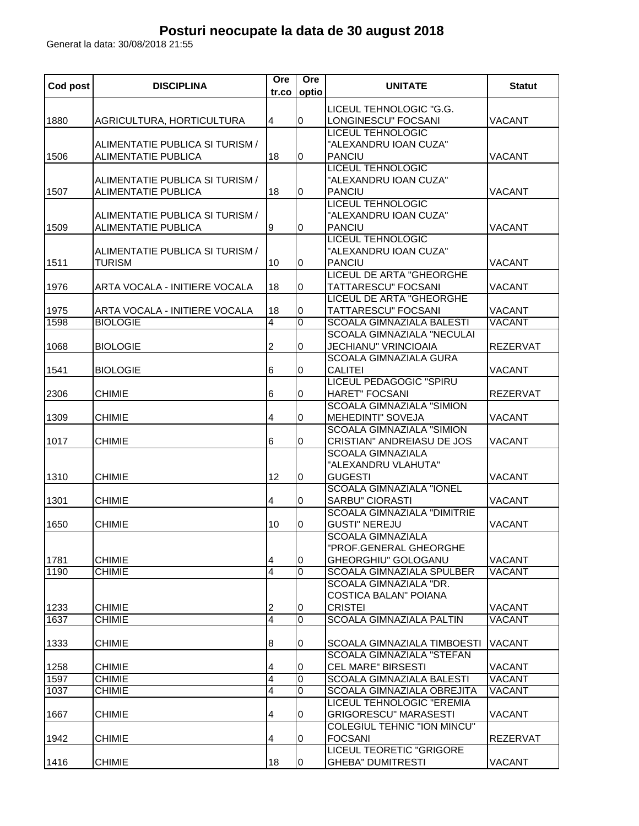## **Posturi neocupate la data de 30 august 2018**

Generat la data: 30/08/2018 21:55

| Cod post     | <b>DISCIPLINA</b>                                             | Ore<br>tr.co        | Ore<br>optio | <b>UNITATE</b>                                                                                 | <b>Statut</b>           |
|--------------|---------------------------------------------------------------|---------------------|--------------|------------------------------------------------------------------------------------------------|-------------------------|
| 1880         | AGRICULTURA, HORTICULTURA                                     | 4                   | $\pmb{0}$    | LICEUL TEHNOLOGIC "G.G.<br>LONGINESCU" FOCSANI                                                 | VACANT                  |
| 1506         | ALIMENTATIE PUBLICA SI TURISM /<br>ALIMENTATIE PUBLICA        | 18                  | 0            | <b>LICEUL TEHNOLOGIC</b><br>"ALEXANDRU IOAN CUZA"<br>PANCIU                                    | <b>VACANT</b>           |
| 1507         | ALIMENTATIE PUBLICA SI TURISM /<br><b>ALIMENTATIE PUBLICA</b> | 18                  | 0            | <b>LICEUL TEHNOLOGIC</b><br>"ALEXANDRU IOAN CUZA"<br><b>PANCIU</b>                             | <b>VACANT</b>           |
| 1509         | ALIMENTATIE PUBLICA SI TURISM /<br><b>ALIMENTATIE PUBLICA</b> | 9                   | 0            | <b>LICEUL TEHNOLOGIC</b><br>"ALEXANDRU IOAN CUZA"<br><b>PANCIU</b>                             | VACANT                  |
| 1511         | ALIMENTATIE PUBLICA SI TURISM /<br><b>TURISM</b>              | 10                  | $\bf{0}$     | <b>LICEUL TEHNOLOGIC</b><br>"ALEXANDRU IOAN CUZA"<br><b>PANCIU</b>                             | <b>VACANT</b>           |
| 1976         | ARTA VOCALA - INITIERE VOCALA                                 | 18                  | 0            | <b>LICEUL DE ARTA "GHEORGHE</b><br>TATTARESCU" FOCSANI                                         | <b>VACANT</b>           |
| 1975<br>1598 | ARTA VOCALA - INITIERE VOCALA<br><b>BIOLOGIE</b>              | 18<br>4             | 0<br>0       | <b>LICEUL DE ARTA "GHEORGHE</b><br>TATTARESCU" FOCSANI<br><b>SCOALA GIMNAZIALA BALESTI</b>     | <b>VACANT</b><br>VACANT |
| 1068         | <b>BIOLOGIE</b>                                               | 2                   | 0            | <b>SCOALA GIMNAZIALA "NECULAI</b><br><b>JECHIANU" VRINCIOAIA</b>                               | <b>REZERVAT</b>         |
| 1541         | <b>BIOLOGIE</b>                                               | 6                   | $\bf{0}$     | <b>SCOALA GIMNAZIALA GURA</b><br><b>CALITEI</b><br><b>LICEUL PEDAGOGIC "SPIRU</b>              | VACANT                  |
| 2306         | <b>CHIMIE</b>                                                 | 6                   | 0            | <b>HARET" FOCSANI</b><br><b>SCOALA GIMNAZIALA "SIMION</b>                                      | <b>REZERVAT</b>         |
| 1309         | <b>CHIMIE</b>                                                 | 4                   | 0            | <b>MEHEDINTI" SOVEJA</b><br><b>SCOALA GIMNAZIALA "SIMION</b>                                   | VACANT                  |
| 1017         | <b>CHIMIE</b>                                                 | 6                   | 0            | CRISTIAN" ANDREIASU DE JOS<br><b>SCOALA GIMNAZIALA</b><br>"ALEXANDRU VLAHUTA"                  | VACANT                  |
| 1310         | <b>CHIMIE</b>                                                 | 12                  | 0            | <b>GUGESTI</b><br><b>SCOALA GIMNAZIALA "IONEL</b>                                              | VACANT                  |
| 1301         | <b>CHIMIE</b>                                                 | 4                   | 0            | <b>SARBU" CIORASTI</b><br><b>SCOALA GIMNAZIALA "DIMITRIE</b>                                   | <b>VACANT</b>           |
| 1650         | <b>CHIMIE</b>                                                 | 10                  | 0            | <b>GUSTI" NEREJU</b><br><b>SCOALA GIMNAZIALA</b><br>"PROF.GENERAL GHEORGHE                     | VACANT                  |
| 1781<br>1190 | <b>CHIMIE</b><br><b>CHIMIE</b>                                | 4<br>$\overline{4}$ | 0<br>0       | GHEORGHIU" GOLOGANU<br><b>SCOALA GIMNAZIALA SPULBER</b>                                        | VACANT<br>VACANT        |
| 1233         | <b>CHIMIE</b>                                                 | 2                   | 0            | SCOALA GIMNAZIALA "DR.<br><b>COSTICA BALAN" POIANA</b><br><b>CRISTEI</b>                       | VACANT                  |
| 1637         | <b>CHIMIE</b>                                                 | $\overline{4}$      | 0            | <b>SCOALA GIMNAZIALA PALTIN</b>                                                                | VACANT                  |
| 1333         | <b>CHIMIE</b>                                                 | 8                   | 0            | SCOALA GIMNAZIALA TIMBOESTI                                                                    | VACANT                  |
| 1258         | <b>CHIMIE</b>                                                 | 4                   | 0            | <b>SCOALA GIMNAZIALA "STEFAN</b><br><b>CEL MARE" BIRSESTI</b>                                  | VACANT                  |
| 1597         | <b>CHIMIE</b>                                                 | $\overline{4}$      | 0            | <b>SCOALA GIMNAZIALA BALESTI</b>                                                               | VACANT                  |
| 1037<br>1667 | <b>CHIMIE</b><br><b>CHIMIE</b>                                | 4<br>4              | 0<br>0       | <b>SCOALA GIMNAZIALA OBREJITA</b><br>LICEUL TEHNOLOGIC "EREMIA<br><b>GRIGORESCU" MARASESTI</b> | VACANT<br>VACANT        |
| 1942         | <b>CHIMIE</b>                                                 | 4                   | 0            | COLEGIUL TEHNIC "ION MINCU"<br><b>FOCSANI</b>                                                  | <b>REZERVAT</b>         |
| 1416         | <b>CHIMIE</b>                                                 | 18                  | 0            | <b>LICEUL TEORETIC "GRIGORE</b><br><b>GHEBA" DUMITRESTI</b>                                    | VACANT                  |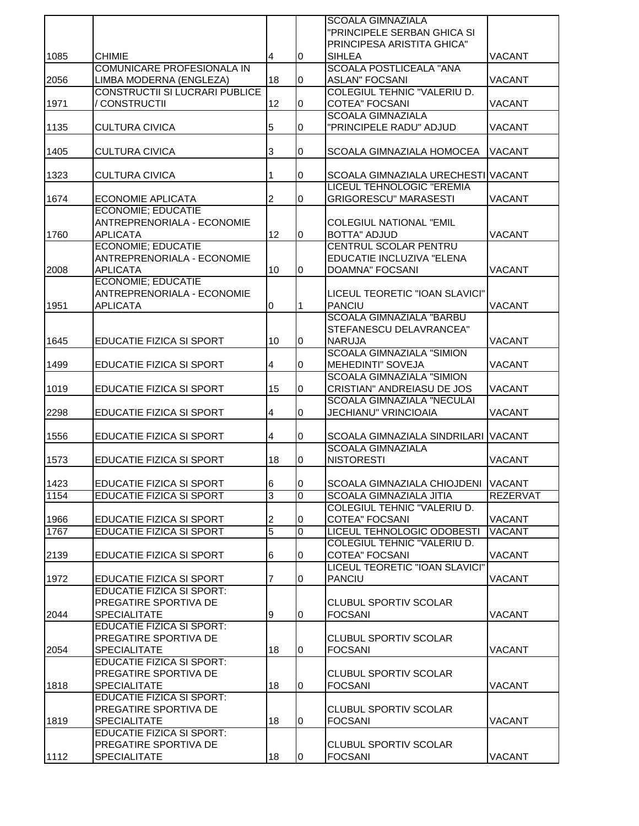|      |                                       |                 |                | <b>SCOALA GIMNAZIALA</b>                                               |                 |
|------|---------------------------------------|-----------------|----------------|------------------------------------------------------------------------|-----------------|
|      |                                       |                 |                | "PRINCIPELE SERBAN GHICA SI                                            |                 |
|      |                                       |                 |                | PRINCIPESA ARISTITA GHICA"                                             |                 |
| 1085 | <b>CHIMIE</b>                         | $\overline{4}$  | 0              | <b>SIHLEA</b>                                                          | <b>VACANT</b>   |
|      | COMUNICARE PROFESIONALA IN            |                 |                | <b>SCOALA POSTLICEALA "ANA</b>                                         |                 |
| 2056 | LIMBA MODERNA (ENGLEZA)               | 18              | 0              | <b>ASLAN" FOCSANI</b>                                                  | <b>VACANT</b>   |
|      | <b>CONSTRUCTII SI LUCRARI PUBLICE</b> |                 |                | <b>COLEGIUL TEHNIC "VALERIU D.</b>                                     |                 |
| 1971 | CONSTRUCTII                           | 12              | 0              | <b>COTEA" FOCSANI</b>                                                  | <b>VACANT</b>   |
|      |                                       |                 |                | <b>SCOALA GIMNAZIALA</b>                                               |                 |
| 1135 | <b>CULTURA CIVICA</b>                 | 5               | 0              | "PRINCIPELE RADU" ADJUD                                                | <b>VACANT</b>   |
|      |                                       |                 |                |                                                                        |                 |
| 1405 | <b>CULTURA CIVICA</b>                 | 3               | 0              | SCOALA GIMNAZIALA HOMOCEA                                              | <b>VACANT</b>   |
|      |                                       |                 |                |                                                                        |                 |
| 1323 | <b>CULTURA CIVICA</b>                 | 1               | 0              | SCOALA GIMNAZIALA URECHESTI VACANT                                     |                 |
|      |                                       |                 |                | LICEUL TEHNOLOGIC "EREMIA                                              |                 |
| 1674 | <b>ECONOMIE APLICATA</b>              | 2               | 0              | <b>GRIGORESCU" MARASESTI</b>                                           | <b>VACANT</b>   |
|      | <b>ECONOMIE; EDUCATIE</b>             |                 |                |                                                                        |                 |
|      | ANTREPRENORIALA - ECONOMIE            |                 |                | <b>COLEGIUL NATIONAL "EMIL</b>                                         |                 |
| 1760 | <b>APLICATA</b>                       | 12              | $\overline{0}$ | <b>BOTTA" ADJUD</b>                                                    | <b>VACANT</b>   |
|      | <b>ECONOMIE; EDUCATIE</b>             |                 |                | <b>CENTRUL SCOLAR PENTRU</b>                                           |                 |
|      | ANTREPRENORIALA - ECONOMIE            |                 |                | EDUCATIE INCLUZIVA "ELENA                                              |                 |
| 2008 | <b>APLICATA</b>                       | 10              | 0              | <b>DOAMNA" FOCSANI</b>                                                 | <b>VACANT</b>   |
|      | <b>ECONOMIE; EDUCATIE</b>             |                 |                |                                                                        |                 |
|      | ANTREPRENORIALA - ECONOMIE            |                 |                | LICEUL TEORETIC "IOAN SLAVICI"                                         |                 |
| 1951 | <b>APLICATA</b>                       | 0               | 1              | <b>PANCIU</b>                                                          | <b>VACANT</b>   |
|      |                                       |                 |                | <b>SCOALA GIMNAZIALA "BARBU</b>                                        |                 |
|      |                                       |                 |                | STEFANESCU DELAVRANCEA"                                                |                 |
| 1645 | EDUCATIE FIZICA SI SPORT              | 10              | 0              | <b>NARUJA</b>                                                          | <b>VACANT</b>   |
|      |                                       |                 |                | <b>SCOALA GIMNAZIALA "SIMION</b>                                       |                 |
| 1499 | EDUCATIE FIZICA SI SPORT              | 4               | $\overline{0}$ | <b>MEHEDINTI" SOVEJA</b>                                               | <b>VACANT</b>   |
|      |                                       |                 |                | <b>SCOALA GIMNAZIALA "SIMION</b>                                       |                 |
| 1019 | EDUCATIE FIZICA SI SPORT              | 15              | 0              | <b>CRISTIAN" ANDREIASU DE JOS</b><br><b>SCOALA GIMNAZIALA "NECULAI</b> | <b>VACANT</b>   |
|      |                                       |                 |                |                                                                        |                 |
| 2298 | EDUCATIE FIZICA SI SPORT              | 4               | 0              | <b>JECHIANU" VRINCIOAIA</b>                                            | <b>VACANT</b>   |
| 1556 | EDUCATIE FIZICA SI SPORT              |                 | 0              | SCOALA GIMNAZIALA SINDRILARI VACANT                                    |                 |
|      |                                       | 4               |                | <b>SCOALA GIMNAZIALA</b>                                               |                 |
| 1573 | EDUCATIE FIZICA SI SPORT              | 18              | 0              | <b>NISTORESTI</b>                                                      | <b>VACANT</b>   |
|      |                                       |                 |                |                                                                        |                 |
| 1423 | EDUCATIE FIZICA SI SPORT              | $6\overline{6}$ | l0             | SCOALA GIMNAZIALA CHIOJDENI VACANT                                     |                 |
| 1154 | <b>EDUCATIE FIZICA SI SPORT</b>       | 3               | $\Omega$       | <b>SCOALA GIMNAZIALA JITIA</b>                                         | <b>REZERVAT</b> |
|      |                                       |                 |                | COLEGIUL TEHNIC "VALERIU D.                                            |                 |
| 1966 | EDUCATIE FIZICA SI SPORT              | 2               | 0              | <b>COTEA" FOCSANI</b>                                                  | <b>VACANT</b>   |
| 1767 | EDUCATIE FIZICA SI SPORT              | 5               | $\overline{0}$ | LICEUL TEHNOLOGIC ODOBESTI                                             | <b>VACANT</b>   |
|      |                                       |                 |                | COLEGIUL TEHNIC "VALERIU D.                                            |                 |
| 2139 | EDUCATIE FIZICA SI SPORT              | 6               | 0              | <b>COTEA" FOCSANI</b>                                                  | <b>VACANT</b>   |
|      |                                       |                 |                | LICEUL TEORETIC "IOAN SLAVICI"                                         |                 |
| 1972 | EDUCATIE FIZICA SI SPORT              | 7               | 0              | <b>PANCIU</b>                                                          | <b>VACANT</b>   |
|      | <b>EDUCATIE FIZICA SI SPORT:</b>      |                 |                |                                                                        |                 |
|      | PREGATIRE SPORTIVA DE                 |                 |                | <b>CLUBUL SPORTIV SCOLAR</b>                                           |                 |
| 2044 | <b>SPECIALITATE</b>                   | 9               | $\pmb{0}$      | <b>FOCSANI</b>                                                         | <b>VACANT</b>   |
|      | <b>EDUCATIE FIZICA SI SPORT:</b>      |                 |                |                                                                        |                 |
|      | PREGATIRE SPORTIVA DE                 |                 |                | <b>CLUBUL SPORTIV SCOLAR</b>                                           |                 |
| 2054 | <b>SPECIALITATE</b>                   | 18              | 0              | <b>FOCSANI</b>                                                         | <b>VACANT</b>   |
|      | <b>EDUCATIE FIZICA SI SPORT:</b>      |                 |                |                                                                        |                 |
|      | PREGATIRE SPORTIVA DE                 |                 |                | <b>CLUBUL SPORTIV SCOLAR</b>                                           |                 |
| 1818 | <b>SPECIALITATE</b>                   | 18              | 0              | <b>FOCSANI</b>                                                         | <b>VACANT</b>   |
|      | EDUCATIE FIZICA SI SPORT:             |                 |                |                                                                        |                 |
|      | PREGATIRE SPORTIVA DE                 |                 |                | <b>CLUBUL SPORTIV SCOLAR</b>                                           |                 |
| 1819 | <b>SPECIALITATE</b>                   | 18              | 0              | <b>FOCSANI</b>                                                         | <b>VACANT</b>   |
|      | <b>EDUCATIE FIZICA SI SPORT:</b>      |                 |                |                                                                        |                 |
|      | PREGATIRE SPORTIVA DE                 |                 |                | <b>CLUBUL SPORTIV SCOLAR</b>                                           |                 |
| 1112 | <b>SPECIALITATE</b>                   | 18              | 0              | <b>FOCSANI</b>                                                         | <b>VACANT</b>   |
|      |                                       |                 |                |                                                                        |                 |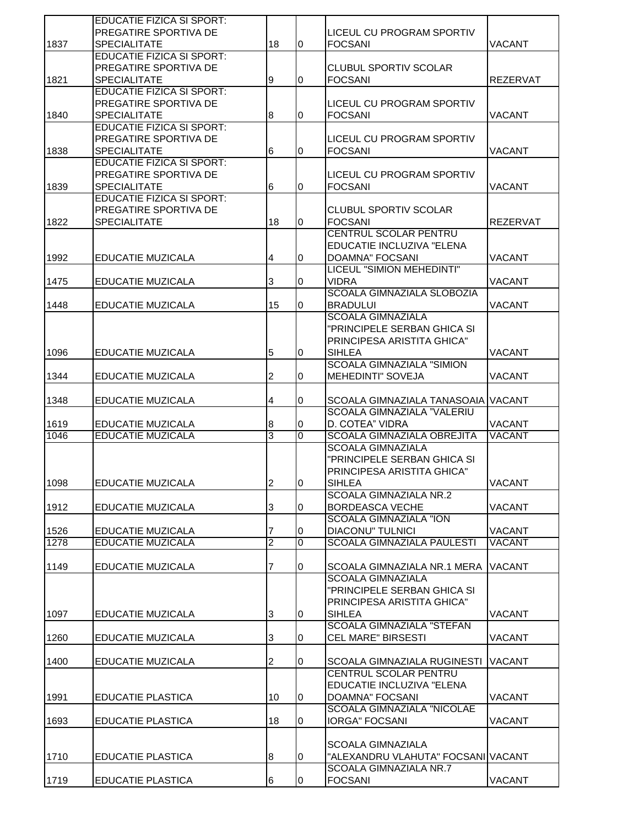|      | EDUCATIE FIZICA SI SPORT:        |                  |                |                                          |                 |
|------|----------------------------------|------------------|----------------|------------------------------------------|-----------------|
|      | PREGATIRE SPORTIVA DE            |                  |                | LICEUL CU PROGRAM SPORTIV                |                 |
| 1837 | <b>SPECIALITATE</b>              | 18               | $\overline{0}$ | <b>FOCSANI</b>                           | <b>VACANT</b>   |
|      | <b>EDUCATIE FIZICA SI SPORT:</b> |                  |                |                                          |                 |
|      | PREGATIRE SPORTIVA DE            |                  |                | <b>CLUBUL SPORTIV SCOLAR</b>             |                 |
| 1821 | <b>SPECIALITATE</b>              | 9                | $\bf{0}$       | <b>FOCSANI</b>                           | <b>REZERVAT</b> |
|      | <b>EDUCATIE FIZICA SI SPORT:</b> |                  |                |                                          |                 |
|      | PREGATIRE SPORTIVA DE            |                  |                | LICEUL CU PROGRAM SPORTIV                |                 |
| 1840 | <b>SPECIALITATE</b>              | 8                | $\overline{0}$ | <b>FOCSANI</b>                           | <b>VACANT</b>   |
|      | <b>EDUCATIE FIZICA SI SPORT:</b> |                  |                |                                          |                 |
|      | PREGATIRE SPORTIVA DE            |                  |                | LICEUL CU PROGRAM SPORTIV                |                 |
| 1838 | <b>SPECIALITATE</b>              | 6                | 0              | <b>FOCSANI</b>                           | <b>VACANT</b>   |
|      | <b>EDUCATIE FIZICA SI SPORT:</b> |                  |                |                                          |                 |
|      | PREGATIRE SPORTIVA DE            |                  |                |                                          |                 |
|      |                                  |                  |                | LICEUL CU PROGRAM SPORTIV                |                 |
| 1839 | <b>SPECIALITATE</b>              | 6                | 0              | <b>FOCSANI</b>                           | VACANT          |
|      | <b>EDUCATIE FIZICA SI SPORT:</b> |                  |                |                                          |                 |
|      | PREGATIRE SPORTIVA DE            |                  |                | <b>CLUBUL SPORTIV SCOLAR</b>             |                 |
| 1822 | <b>SPECIALITATE</b>              | 18               | $\overline{0}$ | <b>FOCSANI</b>                           | <b>REZERVAT</b> |
|      |                                  |                  |                | <b>CENTRUL SCOLAR PENTRU</b>             |                 |
|      |                                  |                  |                | EDUCATIE INCLUZIVA "ELENA                |                 |
| 1992 | <b>EDUCATIE MUZICALA</b>         | 4                | 0              | <b>DOAMNA" FOCSANI</b>                   | <b>VACANT</b>   |
|      |                                  |                  |                | LICEUL "SIMION MEHEDINTI"                |                 |
| 1475 | EDUCATIE MUZICALA                | 3                | 0              | <b>VIDRA</b>                             | <b>VACANT</b>   |
|      |                                  |                  |                | <b>SCOALA GIMNAZIALA SLOBOZIA</b>        |                 |
| 1448 | EDUCATIE MUZICALA                | 15               | 0              | <b>BRADULUI</b>                          | <b>VACANT</b>   |
|      |                                  |                  |                | <b>SCOALA GIMNAZIALA</b>                 |                 |
|      |                                  |                  |                | "PRINCIPELE SERBAN GHICA SI              |                 |
|      |                                  |                  |                |                                          |                 |
|      |                                  |                  |                | PRINCIPESA ARISTITA GHICA"               |                 |
| 1096 | EDUCATIE MUZICALA                | 5                | $\bf{0}$       | <b>SIHLEA</b>                            | <b>VACANT</b>   |
|      |                                  |                  |                | <b>SCOALA GIMNAZIALA "SIMION</b>         |                 |
| 1344 | EDUCATIE MUZICALA                | 2                | 0              | <b>MEHEDINTI" SOVEJA</b>                 | <b>VACANT</b>   |
|      |                                  |                  |                |                                          |                 |
| 1348 | EDUCATIE MUZICALA                | 4                | 0              | SCOALA GIMNAZIALA TANASOAIA VACANT       |                 |
|      |                                  |                  |                | SCOALA GIMNAZIALA "VALERIU               |                 |
| 1619 | EDUCATIE MUZICALA                | 8                | 0              | D. COTEA" VIDRA                          | VACANT          |
| 1046 | EDUCATIE MUZICALA                | 3                | 0              | <b>SCOALA GIMNAZIALA OBREJITA</b>        | <b>VACANT</b>   |
|      |                                  |                  |                | <b>SCOALA GIMNAZIALA</b>                 |                 |
|      |                                  |                  |                |                                          |                 |
|      |                                  |                  |                |                                          |                 |
|      |                                  |                  |                | "PRINCIPELE SERBAN GHICA SI              |                 |
|      |                                  |                  |                | PRINCIPESA ARISTITA GHICA"               |                 |
| 1098 | EDUCATIE MUZICALA                | $\mathcal{P}$    | 10             | <b>SIHLEA</b>                            | <b>VACANT</b>   |
|      |                                  |                  |                | <b>SCOALA GIMNAZIALA NR.2</b>            |                 |
| 1912 | EDUCATIE MUZICALA                | 3                | 0              | <b>BORDEASCA VECHE</b>                   | VACANT          |
|      |                                  |                  |                | <b>SCOALA GIMNAZIALA "ION</b>            |                 |
| 1526 | EDUCATIE MUZICALA                | 7                | 0              | <b>DIACONU" TULNICI</b>                  | <b>VACANT</b>   |
| 1278 | <b>EDUCATIE MUZICALA</b>         | $\overline{2}$   | 0              | <b>SCOALA GIMNAZIALA PAULESTI</b>        | <b>VACANT</b>   |
|      |                                  |                  |                |                                          |                 |
| 1149 | EDUCATIE MUZICALA                | 7                | $\mathbf 0$    | <b>SCOALA GIMNAZIALA NR.1 MERA</b>       | <b>VACANT</b>   |
|      |                                  |                  |                | <b>SCOALA GIMNAZIALA</b>                 |                 |
|      |                                  |                  |                | "PRINCIPELE SERBAN GHICA SI              |                 |
|      |                                  |                  |                | PRINCIPESA ARISTITA GHICA"               |                 |
| 1097 | EDUCATIE MUZICALA                | 3                | 0              | <b>SIHLEA</b>                            | <b>VACANT</b>   |
|      |                                  |                  |                | <b>SCOALA GIMNAZIALA "STEFAN</b>         |                 |
|      |                                  |                  | 0              |                                          |                 |
| 1260 | EDUCATIE MUZICALA                | 3                |                | <b>CEL MARE" BIRSESTI</b>                | VACANT          |
|      |                                  |                  |                |                                          |                 |
| 1400 | EDUCATIE MUZICALA                | 2                | $\overline{0}$ | SCOALA GIMNAZIALA RUGINESTI              | <b>VACANT</b>   |
|      |                                  |                  |                | CENTRUL SCOLAR PENTRU                    |                 |
|      |                                  |                  |                | EDUCATIE INCLUZIVA "ELENA                |                 |
| 1991 | <b>EDUCATIE PLASTICA</b>         | 10               | 0              | <b>DOAMNA" FOCSANI</b>                   | <b>VACANT</b>   |
|      |                                  |                  |                | SCOALA GIMNAZIALA "NICOLAE               |                 |
| 1693 | EDUCATIE PLASTICA                | 18               | 0              | <b>IORGA" FOCSANI</b>                    | <b>VACANT</b>   |
|      |                                  |                  |                |                                          |                 |
|      |                                  |                  |                | <b>SCOALA GIMNAZIALA</b>                 |                 |
| 1710 | <b>EDUCATIE PLASTICA</b>         | $\boldsymbol{8}$ | 0              | "ALEXANDRU VLAHUTA" FOCSANI VACANT       |                 |
|      |                                  |                  |                | SCOALA GIMNAZIALA NR.7<br><b>FOCSANI</b> | VACANT          |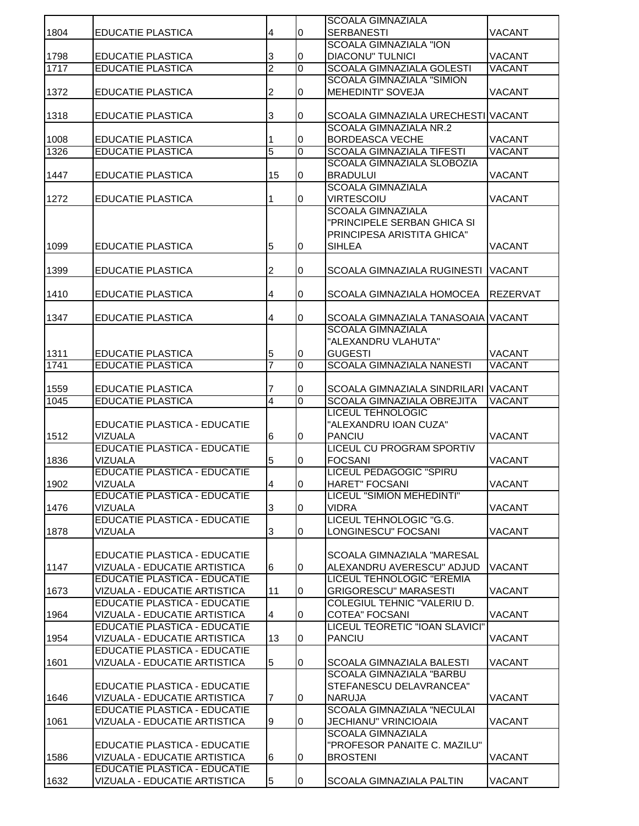|      |                                     |                |                | <b>SCOALA GIMNAZIALA</b>            |                 |
|------|-------------------------------------|----------------|----------------|-------------------------------------|-----------------|
| 1804 | <b>EDUCATIE PLASTICA</b>            | 4              | 0              | <b>SERBANESTI</b>                   | <b>VACANT</b>   |
|      |                                     |                |                | <b>SCOALA GIMNAZIALA "ION</b>       |                 |
| 1798 | EDUCATIE PLASTICA                   | 3              | 0              | <b>DIACONU" TULNICI</b>             | <b>VACANT</b>   |
| 1717 | <b>EDUCATIE PLASTICA</b>            | $\overline{2}$ | 0              | <b>SCOALA GIMNAZIALA GOLESTI</b>    | <b>VACANT</b>   |
|      |                                     |                |                | <b>SCOALA GIMNAZIALA "SIMION</b>    |                 |
| 1372 | <b>EDUCATIE PLASTICA</b>            | 2              | 0              | MEHEDINTI" SOVEJA                   | <b>VACANT</b>   |
|      |                                     |                |                |                                     |                 |
| 1318 | EDUCATIE PLASTICA                   | 3              | 0              | SCOALA GIMNAZIALA URECHESTI VACANT  |                 |
|      |                                     |                |                | <b>SCOALA GIMNAZIALA NR.2</b>       |                 |
| 1008 | <b>EDUCATIE PLASTICA</b>            | 1              | 0              | <b>BORDEASCA VECHE</b>              | <b>VACANT</b>   |
| 1326 | <b>EDUCATIE PLASTICA</b>            | 5              | 0              | <b>SCOALA GIMNAZIALA TIFESTI</b>    | <b>VACANT</b>   |
|      |                                     |                |                | SCOALA GIMNAZIALA SLOBOZIA          |                 |
| 1447 | <b>EDUCATIE PLASTICA</b>            | 15             | 0              | <b>BRADULUI</b>                     | <b>VACANT</b>   |
|      |                                     |                |                | <b>SCOALA GIMNAZIALA</b>            |                 |
| 1272 | EDUCATIE PLASTICA                   | 1              | 0              | <b>VIRTESCOIU</b>                   | <b>VACANT</b>   |
|      |                                     |                |                | <b>SCOALA GIMNAZIALA</b>            |                 |
|      |                                     |                |                | "PRINCIPELE SERBAN GHICA SI         |                 |
|      |                                     |                |                | PRINCIPESA ARISTITA GHICA"          |                 |
| 1099 | <b>EDUCATIE PLASTICA</b>            | 5              | $\overline{0}$ | <b>SIHLEA</b>                       | <b>VACANT</b>   |
|      |                                     |                |                |                                     |                 |
|      |                                     |                |                |                                     |                 |
| 1399 | <b>EDUCATIE PLASTICA</b>            | 2              | 0              | SCOALA GIMNAZIALA RUGINESTI         | <b>VACANT</b>   |
|      |                                     |                |                |                                     |                 |
| 1410 | <b>EDUCATIE PLASTICA</b>            | 4              | 0              | SCOALA GIMNAZIALA HOMOCEA           | <b>REZERVAT</b> |
|      |                                     |                |                |                                     |                 |
| 1347 | <b>EDUCATIE PLASTICA</b>            | 4              | 0              | SCOALA GIMNAZIALA TANASOAIA VACANT  |                 |
|      |                                     |                |                | <b>SCOALA GIMNAZIALA</b>            |                 |
|      |                                     |                |                | "ALEXANDRU VLAHUTA"                 |                 |
| 1311 | EDUCATIE PLASTICA                   | 5              | 0              | <b>GUGESTI</b>                      | <b>VACANT</b>   |
| 1741 | <b>EDUCATIE PLASTICA</b>            | 7              | 0              | <b>SCOALA GIMNAZIALA NANESTI</b>    | <b>VACANT</b>   |
|      |                                     |                |                |                                     |                 |
| 1559 | <b>EDUCATIE PLASTICA</b>            | 7              | 0              | SCOALA GIMNAZIALA SINDRILARI VACANT |                 |
| 1045 | <b>EDUCATIE PLASTICA</b>            | 4              | 0              | SCOALA GIMNAZIALA OBREJITA          | <b>VACANT</b>   |
|      |                                     |                |                | <b>LICEUL TEHNOLOGIC</b>            |                 |
|      | EDUCATIE PLASTICA - EDUCATIE        |                |                | "ALEXANDRU IOAN CUZA"               |                 |
| 1512 | VIZUALA                             | 6              | 0              | <b>PANCIU</b>                       | <b>VACANT</b>   |
|      | <b>EDUCATIE PLASTICA - EDUCATIE</b> |                |                | <b>LICEUL CU PROGRAM SPORTIV</b>    |                 |
| 1836 | <b>VIZUALA</b>                      | 5              | 0              | <b>FOCSANI</b>                      | <b>VACANT</b>   |
|      | <b>EDUCATIE PLASTICA - EDUCATIE</b> |                |                | <b>LICEUL PEDAGOGIC "SPIRU</b>      |                 |
| 1902 | VIZUALA                             |                | lo.            | HARET" FOCSANI                      | <b>VACANT</b>   |
|      | <b>EDUCATIE PLASTICA - EDUCATIE</b> |                |                | LICEUL "SIMION MEHEDINTI"           |                 |
| 1476 | <b>VIZUALA</b>                      | 3              | 0              | <b>VIDRA</b>                        | <b>VACANT</b>   |
|      | <b>EDUCATIE PLASTICA - EDUCATIE</b> |                |                | LICEUL TEHNOLOGIC "G.G.             |                 |
| 1878 | VIZUALA                             | 3              | 0              | LONGINESCU" FOCSANI                 | VACANT          |
|      |                                     |                |                |                                     |                 |
|      | EDUCATIE PLASTICA - EDUCATIE        |                |                | SCOALA GIMNAZIALA "MARESAL          |                 |
| 1147 | VIZUALA - EDUCATIE ARTISTICA        | 6              | 0              | ALEXANDRU AVERESCU" ADJUD           | <b>VACANT</b>   |
|      | EDUCATIE PLASTICA - EDUCATIE        |                |                | LICEUL TEHNOLOGIC "EREMIA           |                 |
| 1673 | VIZUALA - EDUCATIE ARTISTICA        | 11             | 0              | <b>GRIGORESCU" MARASESTI</b>        | <b>VACANT</b>   |
|      | <b>EDUCATIE PLASTICA - EDUCATIE</b> |                |                | <b>COLEGIUL TEHNIC "VALERIU D.</b>  |                 |
| 1964 | VIZUALA - EDUCATIE ARTISTICA        | 4              | 0              | <b>COTEA" FOCSANI</b>               | <b>VACANT</b>   |
|      | <b>EDUCATIE PLASTICA - EDUCATIE</b> |                |                | LICEUL TEORETIC "IOAN SLAVICI"      |                 |
| 1954 | VIZUALA - EDUCATIE ARTISTICA        | 13             | 0              | <b>PANCIU</b>                       | <b>VACANT</b>   |
|      | EDUCATIE PLASTICA - EDUCATIE        |                |                |                                     |                 |
| 1601 | VIZUALA - EDUCATIE ARTISTICA        |                | 0              | SCOALA GIMNAZIALA BALESTI           | VACANT          |
|      |                                     | 5              |                |                                     |                 |
|      |                                     |                |                | SCOALA GIMNAZIALA "BARBU            |                 |
|      | EDUCATIE PLASTICA - EDUCATIE        |                |                | STEFANESCU DELAVRANCEA"             |                 |
| 1646 | VIZUALA - EDUCATIE ARTISTICA        | 7              | 0              | <b>NARUJA</b>                       | <b>VACANT</b>   |
|      | <b>EDUCATIE PLASTICA - EDUCATIE</b> |                |                | <b>SCOALA GIMNAZIALA "NECULAI</b>   |                 |
| 1061 | VIZUALA - EDUCATIE ARTISTICA        | 9              | 0              | JECHIANU" VRINCIOAIA                | <b>VACANT</b>   |
|      |                                     |                |                | <b>SCOALA GIMNAZIALA</b>            |                 |
|      | EDUCATIE PLASTICA - EDUCATIE        |                |                | "PROFESOR PANAITE C. MAZILU"        |                 |
| 1586 | VIZUALA - EDUCATIE ARTISTICA        | 6              | 0              | <b>BROSTENI</b>                     | <b>VACANT</b>   |
|      | EDUCATIE PLASTICA - EDUCATIE        |                |                |                                     |                 |
| 1632 | VIZUALA - EDUCATIE ARTISTICA        | 5              | 0              | SCOALA GIMNAZIALA PALTIN            | <b>VACANT</b>   |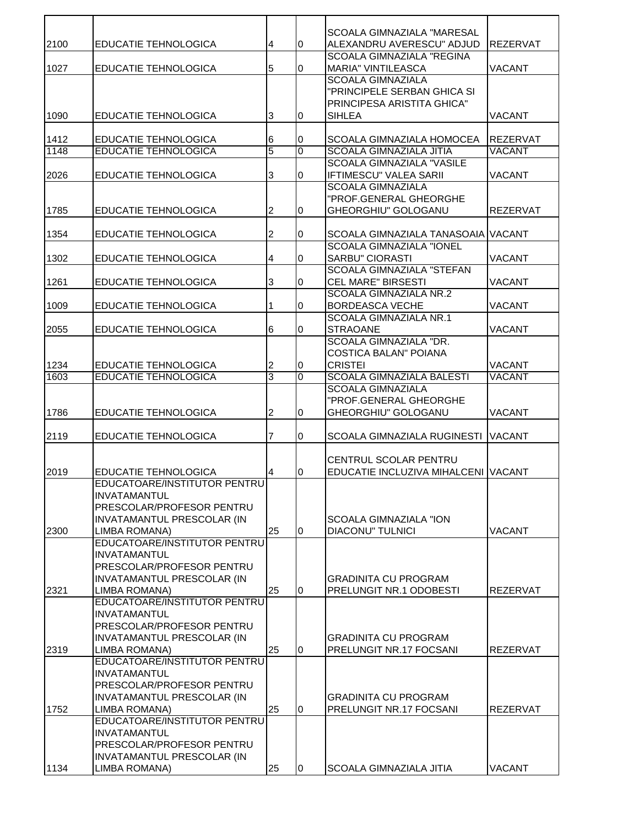|      |                                             |                |              | <b>SCOALA GIMNAZIALA "MARESAL</b>                 |                 |
|------|---------------------------------------------|----------------|--------------|---------------------------------------------------|-----------------|
| 2100 | EDUCATIE TEHNOLOGICA                        | 4              | 0            | ALEXANDRU AVERESCU" ADJUD                         | <b>REZERVAT</b> |
|      |                                             |                |              | <b>SCOALA GIMNAZIALA "REGINA</b>                  |                 |
| 1027 | <b>EDUCATIE TEHNOLOGICA</b>                 | 5              | 0            | <b>MARIA" VINTILEASCA</b>                         | <b>VACANT</b>   |
|      |                                             |                |              | <b>SCOALA GIMNAZIALA</b>                          |                 |
|      |                                             |                |              | "PRINCIPELE SERBAN GHICA SI                       |                 |
|      |                                             | 3              | 0            | PRINCIPESA ARISTITA GHICA"<br><b>SIHLEA</b>       |                 |
| 1090 | <b>EDUCATIE TEHNOLOGICA</b>                 |                |              |                                                   | <b>VACANT</b>   |
| 1412 | EDUCATIE TEHNOLOGICA                        | 6              | 0            | SCOALA GIMNAZIALA HOMOCEA                         | REZERVAT        |
| 1148 | <b>EDUCATIE TEHNOLOGICA</b>                 | $\overline{5}$ | $\mathbf{0}$ | <b>SCOALA GIMNAZIALA JITIA</b>                    | <b>VACANT</b>   |
|      |                                             |                |              | <b>SCOALA GIMNAZIALA "VASILE</b>                  |                 |
| 2026 | <b>EDUCATIE TEHNOLOGICA</b>                 | 3              | 0            | <b>IFTIMESCU" VALEA SARII</b>                     | VACANT          |
|      |                                             |                |              | <b>SCOALA GIMNAZIALA</b>                          |                 |
|      |                                             |                |              | "PROF.GENERAL GHEORGHE                            |                 |
| 1785 | <b>EDUCATIE TEHNOLOGICA</b>                 | 2              | 0            | GHEORGHIU" GOLOGANU                               | <b>REZERVAT</b> |
|      |                                             |                |              |                                                   |                 |
| 1354 | <b>EDUCATIE TEHNOLOGICA</b>                 | 2              | 0            | SCOALA GIMNAZIALA TANASOAIA VACANT                |                 |
|      |                                             |                |              | <b>SCOALA GIMNAZIALA "IONEL</b>                   |                 |
| 1302 | <b>EDUCATIE TEHNOLOGICA</b>                 | 4              | 0            | <b>SARBU" CIORASTI</b>                            | <b>VACANT</b>   |
|      |                                             |                |              | <b>SCOALA GIMNAZIALA "STEFAN</b>                  |                 |
| 1261 | <b>EDUCATIE TEHNOLOGICA</b>                 | 3              | 0            | <b>CEL MARE" BIRSESTI</b>                         | <b>VACANT</b>   |
|      |                                             |                |              | <b>SCOALA GIMNAZIALA NR.2</b>                     |                 |
| 1009 | <b>EDUCATIE TEHNOLOGICA</b>                 | 1              | 0            | <b>BORDEASCA VECHE</b>                            | <b>VACANT</b>   |
|      |                                             |                |              | <b>SCOALA GIMNAZIALA NR.1</b>                     |                 |
| 2055 | <b>EDUCATIE TEHNOLOGICA</b>                 | 6              | 0            | <b>STRAOANE</b>                                   | <b>VACANT</b>   |
|      |                                             |                |              | SCOALA GIMNAZIALA "DR.                            |                 |
|      |                                             |                |              | <b>COSTICA BALAN" POIANA</b>                      |                 |
| 1234 | EDUCATIE TEHNOLOGICA                        | $\overline{c}$ | 0            | <b>CRISTEI</b>                                    | <b>VACANT</b>   |
| 1603 | <b>EDUCATIE TEHNOLOGICA</b>                 | 3              | $\Omega$     | <b>SCOALA GIMNAZIALA BALESTI</b>                  | <b>VACANT</b>   |
|      |                                             |                |              | <b>SCOALA GIMNAZIALA</b>                          |                 |
|      |                                             |                |              | "PROF.GENERAL GHEORGHE                            |                 |
| 1786 | <b>EDUCATIE TEHNOLOGICA</b>                 | 2              | $\Omega$     | GHEORGHIU" GOLOGANU                               | <b>VACANT</b>   |
|      |                                             |                |              |                                                   |                 |
| 2119 | <b>EDUCATIE TEHNOLOGICA</b>                 | 7              | 0            | SCOALA GIMNAZIALA RUGINESTI VACANT                |                 |
|      |                                             |                |              |                                                   |                 |
|      |                                             |                |              | <b>CENTRUL SCOLAR PENTRU</b>                      |                 |
| 2019 | EDUCATIE TEHNOLOGICA                        | 4              | 0            | EDUCATIE INCLUZIVA MIHALCENI VACANT               |                 |
|      | EDUCATOARE/INSTITUTOR PENTRU                |                |              |                                                   |                 |
|      | <b>INVATAMANTUL</b>                         |                |              |                                                   |                 |
|      | PRESCOLAR/PROFESOR PENTRU                   |                |              |                                                   |                 |
| 2300 | INVATAMANTUL PRESCOLAR (IN<br>LIMBA ROMANA) | 25             | $\Omega$     | SCOALA GIMNAZIALA "ION<br><b>DIACONU" TULNICI</b> | <b>VACANT</b>   |
|      | EDUCATOARE/INSTITUTOR PENTRU                |                |              |                                                   |                 |
|      | <b>INVATAMANTUL</b>                         |                |              |                                                   |                 |
|      | PRESCOLAR/PROFESOR PENTRU                   |                |              |                                                   |                 |
|      | INVATAMANTUL PRESCOLAR (IN                  |                |              | <b>GRADINITA CU PROGRAM</b>                       |                 |
| 2321 | LIMBA ROMANA)                               | 25             | $\Omega$     | PRELUNGIT NR.1 ODOBESTI                           | <b>REZERVAT</b> |
|      | EDUCATOARE/INSTITUTOR PENTRU                |                |              |                                                   |                 |
|      | <b>INVATAMANTUL</b>                         |                |              |                                                   |                 |
|      | PRESCOLAR/PROFESOR PENTRU                   |                |              |                                                   |                 |
|      | <b>INVATAMANTUL PRESCOLAR (IN</b>           |                |              | <b>GRADINITA CU PROGRAM</b>                       |                 |
| 2319 | LIMBA ROMANA)                               | 25             | $\Omega$     | PRELUNGIT NR.17 FOCSANI                           | <b>REZERVAT</b> |
|      | EDUCATOARE/INSTITUTOR PENTRU                |                |              |                                                   |                 |
|      | <b>INVATAMANTUL</b>                         |                |              |                                                   |                 |
|      | PRESCOLAR/PROFESOR PENTRU                   |                |              |                                                   |                 |
|      | <b>INVATAMANTUL PRESCOLAR (IN</b>           |                |              | <b>GRADINITA CU PROGRAM</b>                       |                 |
| 1752 | LIMBA ROMANA)                               | 25             | $\Omega$     | PRELUNGIT NR.17 FOCSANI                           | REZERVAT        |
|      | EDUCATOARE/INSTITUTOR PENTRU                |                |              |                                                   |                 |
|      | <b>INVATAMANTUL</b>                         |                |              |                                                   |                 |
|      | PRESCOLAR/PROFESOR PENTRU                   |                |              |                                                   |                 |
|      | INVATAMANTUL PRESCOLAR (IN                  |                |              |                                                   |                 |
| 1134 | LIMBA ROMANA)                               | 25             | 0            | SCOALA GIMNAZIALA JITIA                           | <b>VACANT</b>   |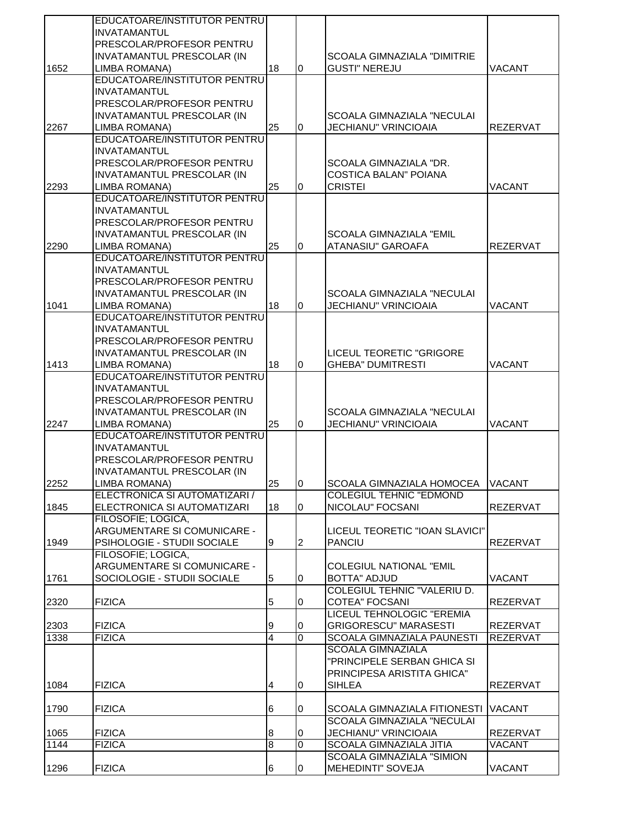|      | EDUCATOARE/INSTITUTOR PENTRU                   |                  |                |                                    |                 |
|------|------------------------------------------------|------------------|----------------|------------------------------------|-----------------|
|      | <b>INVATAMANTUL</b>                            |                  |                |                                    |                 |
|      | PRESCOLAR/PROFESOR PENTRU                      |                  |                |                                    |                 |
|      | INVATAMANTUL PRESCOLAR (IN                     |                  |                | <b>SCOALA GIMNAZIALA "DIMITRIE</b> |                 |
| 1652 | LIMBA ROMANA)                                  | 18               | 0              | <b>GUSTI" NEREJU</b>               | VACANT          |
|      | EDUCATOARE/INSTITUTOR PENTRU                   |                  |                |                                    |                 |
|      | <b>INVATAMANTUL</b>                            |                  |                |                                    |                 |
|      | PRESCOLAR/PROFESOR PENTRU                      |                  |                |                                    |                 |
|      | INVATAMANTUL PRESCOLAR (IN                     |                  |                | SCOALA GIMNAZIALA "NECULAI         |                 |
| 2267 | LIMBA ROMANA)                                  | 25               | $\Omega$       | <b>JECHIANU" VRINCIOAIA</b>        | <b>REZERVAT</b> |
|      | EDUCATOARE/INSTITUTOR PENTRU                   |                  |                |                                    |                 |
|      | <b>INVATAMANTUL</b>                            |                  |                |                                    |                 |
|      | PRESCOLAR/PROFESOR PENTRU                      |                  |                | SCOALA GIMNAZIALA "DR.             |                 |
|      | INVATAMANTUL PRESCOLAR (IN                     |                  |                | COSTICA BALAN" POIANA              |                 |
| 2293 | LIMBA ROMANA)                                  | 25               | 0              | <b>CRISTEI</b>                     | VACANT          |
|      | EDUCATOARE/INSTITUTOR PENTRU                   |                  |                |                                    |                 |
|      |                                                |                  |                |                                    |                 |
|      | <b>INVATAMANTUL</b>                            |                  |                |                                    |                 |
|      | PRESCOLAR/PROFESOR PENTRU                      |                  |                |                                    |                 |
|      | INVATAMANTUL PRESCOLAR (IN                     |                  |                | <b>SCOALA GIMNAZIALA "EMIL</b>     |                 |
| 2290 | LIMBA ROMANA)                                  | 25               | $\overline{0}$ | ATANASIU" GAROAFA                  | <b>REZERVAT</b> |
|      | EDUCATOARE/INSTITUTOR PENTRU                   |                  |                |                                    |                 |
|      | <b>INVATAMANTUL</b>                            |                  |                |                                    |                 |
|      | PRESCOLAR/PROFESOR PENTRU                      |                  |                |                                    |                 |
|      | <b>INVATAMANTUL PRESCOLAR (IN</b>              |                  |                | <b>SCOALA GIMNAZIALA "NECULAI</b>  |                 |
| 1041 | LIMBA ROMANA)                                  | 18               | $\Omega$       | JECHIANU" VRINCIOAIA               | <b>VACANT</b>   |
|      | EDUCATOARE/INSTITUTOR PENTRU                   |                  |                |                                    |                 |
|      | <b>INVATAMANTUL</b>                            |                  |                |                                    |                 |
|      | PRESCOLAR/PROFESOR PENTRU                      |                  |                |                                    |                 |
|      | INVATAMANTUL PRESCOLAR (IN                     |                  |                | LICEUL TEORETIC "GRIGORE           |                 |
| 1413 | LIMBA ROMANA)                                  | 18               | $\overline{0}$ | <b>GHEBA" DUMITRESTI</b>           | VACANT          |
|      | EDUCATOARE/INSTITUTOR PENTRU                   |                  |                |                                    |                 |
|      | <b>INVATAMANTUL</b>                            |                  |                |                                    |                 |
|      | PRESCOLAR/PROFESOR PENTRU                      |                  |                |                                    |                 |
|      | <b>INVATAMANTUL PRESCOLAR (IN</b>              |                  |                | <b>SCOALA GIMNAZIALA "NECULAI</b>  |                 |
| 2247 | LIMBA ROMANA)                                  | 25               | 0              | JECHIANU" VRINCIOAIA               | <b>VACANT</b>   |
|      | EDUCATOARE/INSTITUTOR PENTRU                   |                  |                |                                    |                 |
|      | <b>INVATAMANTUL</b>                            |                  |                |                                    |                 |
|      | PRESCOLAR/PROFESOR PENTRU                      |                  |                |                                    |                 |
|      | <b>INVATAMANTUL PRESCOLAR (IN</b>              |                  |                |                                    |                 |
|      |                                                |                  |                |                                    |                 |
| 2252 | LIMBA ROMANA)<br>ELECTRONICA SI AUTOMATIZARI / | 25               | Iо             | SCOALA GIMNAZIALA HOMOCEA VACANT   |                 |
|      |                                                |                  |                | <b>COLEGIUL TEHNIC "EDMOND</b>     |                 |
| 1845 | ELECTRONICA SI AUTOMATIZARI                    | 18               | 0              | NICOLAU" FOCSANI                   | REZERVAT        |
|      | FILOSOFIE; LOGICA,                             |                  |                |                                    |                 |
|      | ARGUMENTARE SI COMUNICARE -                    |                  |                | LICEUL TEORETIC "IOAN SLAVICI"     |                 |
| 1949 | PSIHOLOGIE - STUDII SOCIALE                    | Ι9               | 2              | <b>PANCIU</b>                      | <b>REZERVAT</b> |
|      | FILOSOFIE; LOGICA,                             |                  |                |                                    |                 |
|      | ARGUMENTARE SI COMUNICARE -                    |                  |                | <b>COLEGIUL NATIONAL "EMIL</b>     |                 |
| 1761 | SOCIOLOGIE - STUDII SOCIALE                    | 5                | 0              | <b>BOTTA" ADJUD</b>                | VACANT          |
|      |                                                |                  |                | <b>COLEGIUL TEHNIC "VALERIU D.</b> |                 |
| 2320 | <b>FIZICA</b>                                  | 5                | 0              | <b>COTEA" FOCSANI</b>              | <b>REZERVAT</b> |
|      |                                                |                  |                | LICEUL TEHNOLOGIC "EREMIA          |                 |
| 2303 | <b>FIZICA</b>                                  | 9                | 0              | <b>GRIGORESCU" MARASESTI</b>       | <b>REZERVAT</b> |
| 1338 | <b>FIZICA</b>                                  | $\overline{4}$   | $\overline{0}$ | <b>SCOALA GIMNAZIALA PAUNESTI</b>  | <b>REZERVAT</b> |
|      |                                                |                  |                | <b>SCOALA GIMNAZIALA</b>           |                 |
|      |                                                |                  |                | "PRINCIPELE SERBAN GHICA SI        |                 |
|      |                                                |                  |                | PRINCIPESA ARISTITA GHICA"         |                 |
| 1084 | <b>FIZICA</b>                                  | 4                | 0              | <b>SIHLEA</b>                      | <b>REZERVAT</b> |
|      |                                                |                  |                |                                    |                 |
| 1790 | <b>FIZICA</b>                                  | 6                | 0              | SCOALA GIMNAZIALA FITIONESTI       | <b>VACANT</b>   |
|      |                                                |                  |                | <b>SCOALA GIMNAZIALA "NECULAI</b>  |                 |
| 1065 | <b>FIZICA</b>                                  | $\boldsymbol{8}$ | 0              | <b>JECHIANU" VRINCIOAIA</b>        | REZERVAT        |
| 1144 | <b>FIZICA</b>                                  | $\overline{8}$   | $\overline{0}$ | <b>SCOALA GIMNAZIALA JITIA</b>     | <b>VACANT</b>   |
|      |                                                |                  |                | SCOALA GIMNAZIALA "SIMION          |                 |
|      |                                                |                  |                |                                    |                 |
| 1296 | <b>FIZICA</b>                                  | 6                | 0              | <b>MEHEDINTI" SOVEJA</b>           | VACANT          |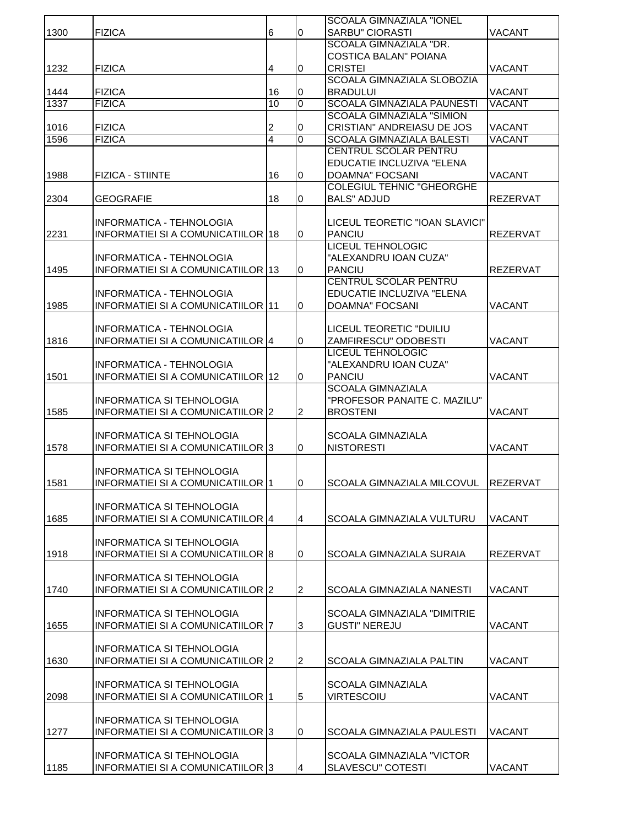|      |                                           |                |                | <b>SCOALA GIMNAZIALA "IONEL</b>    |                 |
|------|-------------------------------------------|----------------|----------------|------------------------------------|-----------------|
| 1300 | <b>FIZICA</b>                             | 6              | 0              | <b>SARBU" CIORASTI</b>             | <b>VACANT</b>   |
|      |                                           |                |                | SCOALA GIMNAZIALA "DR.             |                 |
|      |                                           |                |                | <b>COSTICA BALAN" POIANA</b>       |                 |
| 1232 | <b>FIZICA</b>                             | 4              | $\bf{0}$       | <b>CRISTEI</b>                     | <b>VACANT</b>   |
|      |                                           |                |                | <b>SCOALA GIMNAZIALA SLOBOZIA</b>  |                 |
| 1444 | <b>FIZICA</b>                             | 16             | 0              | <b>BRADULUI</b>                    | <b>VACANT</b>   |
| 1337 | <b>FIZICA</b>                             | 10             | $\overline{0}$ | <b>SCOALA GIMNAZIALA PAUNESTI</b>  | <b>VACANT</b>   |
|      |                                           |                |                | <b>SCOALA GIMNAZIALA "SIMION</b>   |                 |
| 1016 | <b>FIZICA</b>                             | $\overline{c}$ | 0              | <b>CRISTIAN" ANDREIASU DE JOS</b>  | <b>VACANT</b>   |
| 1596 | <b>FIZICA</b>                             | 4              | $\overline{0}$ | <b>SCOALA GIMNAZIALA BALESTI</b>   | <b>VACANT</b>   |
|      |                                           |                |                | <b>CENTRUL SCOLAR PENTRU</b>       |                 |
|      |                                           |                |                | EDUCATIE INCLUZIVA "ELENA          |                 |
| 1988 | <b>FIZICA - STIINTE</b>                   | 16             | 0              | <b>DOAMNA" FOCSANI</b>             | <b>VACANT</b>   |
|      |                                           |                |                | <b>COLEGIUL TEHNIC "GHEORGHE</b>   |                 |
| 2304 | <b>GEOGRAFIE</b>                          | 18             | 0              | <b>BALS" ADJUD</b>                 | <b>REZERVAT</b> |
|      |                                           |                |                |                                    |                 |
|      | INFORMATICA - TEHNOLOGIA                  |                |                | LICEUL TEORETIC "IOAN SLAVICI"     |                 |
| 2231 | <b>INFORMATIEI SI A COMUNICATIILOR 18</b> |                | 0              | <b>PANCIU</b>                      | <b>REZERVAT</b> |
|      |                                           |                |                | <b>LICEUL TEHNOLOGIC</b>           |                 |
|      | INFORMATICA - TEHNOLOGIA                  |                |                | "ALEXANDRU IOAN CUZA"              |                 |
| 1495 | INFORMATIEI SI A COMUNICATIILOR 13        |                | 0              | <b>PANCIU</b>                      | <b>REZERVAT</b> |
|      |                                           |                |                | CENTRUL SCOLAR PENTRU              |                 |
|      | INFORMATICA - TEHNOLOGIA                  |                |                | EDUCATIE INCLUZIVA "ELENA          |                 |
| 1985 | <b>INFORMATIEI SI A COMUNICATIILOR 11</b> |                | 0              | DOAMNA" FOCSANI                    | <b>VACANT</b>   |
|      |                                           |                |                |                                    |                 |
|      | INFORMATICA - TEHNOLOGIA                  |                |                | LICEUL TEORETIC "DUILIU            |                 |
| 1816 | INFORMATIEI SI A COMUNICATIILOR 4         |                | $\overline{0}$ | ZAMFIRESCU" ODOBESTI               | <b>VACANT</b>   |
|      |                                           |                |                | <b>LICEUL TEHNOLOGIC</b>           |                 |
|      | <b>INFORMATICA - TEHNOLOGIA</b>           |                |                | "ALEXANDRU IOAN CUZA"              |                 |
| 1501 | INFORMATIEI SI A COMUNICATIILOR 12        |                | 0              | <b>PANCIU</b>                      | <b>VACANT</b>   |
|      |                                           |                |                | <b>SCOALA GIMNAZIALA</b>           |                 |
|      | INFORMATICA SI TEHNOLOGIA                 |                |                | "PROFESOR PANAITE C. MAZILU"       |                 |
| 1585 | INFORMATIEI SI A COMUNICATIILOR 2         |                | $\overline{2}$ | <b>BROSTENI</b>                    | <b>VACANT</b>   |
|      |                                           |                |                |                                    |                 |
|      | INFORMATICA SI TEHNOLOGIA                 |                |                | <b>SCOALA GIMNAZIALA</b>           |                 |
| 1578 | INFORMATIEI SI A COMUNICATIILOR 3         |                | 0              | <b>NISTORESTI</b>                  | <b>VACANT</b>   |
|      |                                           |                |                |                                    |                 |
|      | <b>INFORMATICA SI TEHNOLOGIA</b>          |                |                |                                    |                 |
| 1581 | INFORMATIEI SI A COMUNICATIILOR 1         |                | I0.            | ISCOALA GIMNAZIALA MILCOVUL        | <b>REZERVAT</b> |
|      |                                           |                |                |                                    |                 |
|      | INFORMATICA SI TEHNOLOGIA                 |                |                |                                    |                 |
| 1685 | INFORMATIEI SI A COMUNICATIILOR 4         |                | $\overline{4}$ | SCOALA GIMNAZIALA VULTURU          | <b>VACANT</b>   |
|      |                                           |                |                |                                    |                 |
|      | INFORMATICA SI TEHNOLOGIA                 |                |                |                                    |                 |
| 1918 | INFORMATIEI SI A COMUNICATIILOR 8         |                | $\overline{0}$ | <b>SCOALA GIMNAZIALA SURAIA</b>    | <b>REZERVAT</b> |
|      |                                           |                |                |                                    |                 |
|      | INFORMATICA SI TEHNOLOGIA                 |                |                |                                    |                 |
| 1740 | INFORMATIEI SI A COMUNICATIILOR 2         |                | $\overline{2}$ | <b>SCOALA GIMNAZIALA NANESTI</b>   | <b>VACANT</b>   |
|      |                                           |                |                |                                    |                 |
|      | INFORMATICA SI TEHNOLOGIA                 |                |                | <b>SCOALA GIMNAZIALA "DIMITRIE</b> |                 |
| 1655 | INFORMATIEI SI A COMUNICATIILOR 7         |                | 3              | <b>GUSTI" NEREJU</b>               | <b>VACANT</b>   |
|      |                                           |                |                |                                    |                 |
|      | INFORMATICA SI TEHNOLOGIA                 |                |                |                                    |                 |
| 1630 | INFORMATIEI SI A COMUNICATIILOR 2         |                | $\overline{2}$ | SCOALA GIMNAZIALA PALTIN           | <b>VACANT</b>   |
|      |                                           |                |                |                                    |                 |
|      | <b>INFORMATICA SI TEHNOLOGIA</b>          |                |                | <b>SCOALA GIMNAZIALA</b>           |                 |
| 2098 | INFORMATIEI SI A COMUNICATIILOR 1         |                | $\overline{5}$ | <b>VIRTESCOIU</b>                  | <b>VACANT</b>   |
|      |                                           |                |                |                                    |                 |
|      | <b>INFORMATICA SI TEHNOLOGIA</b>          |                |                |                                    |                 |
| 1277 | INFORMATIEI SI A COMUNICATIILOR 3         |                | 0              | SCOALA GIMNAZIALA PAULESTI         | VACANT          |
|      |                                           |                |                |                                    |                 |
|      | INFORMATICA SI TEHNOLOGIA                 |                |                | <b>SCOALA GIMNAZIALA "VICTOR</b>   |                 |
| 1185 | INFORMATIEI SI A COMUNICATIILOR 3         |                | 4              | <b>SLAVESCU" COTESTI</b>           | <b>VACANT</b>   |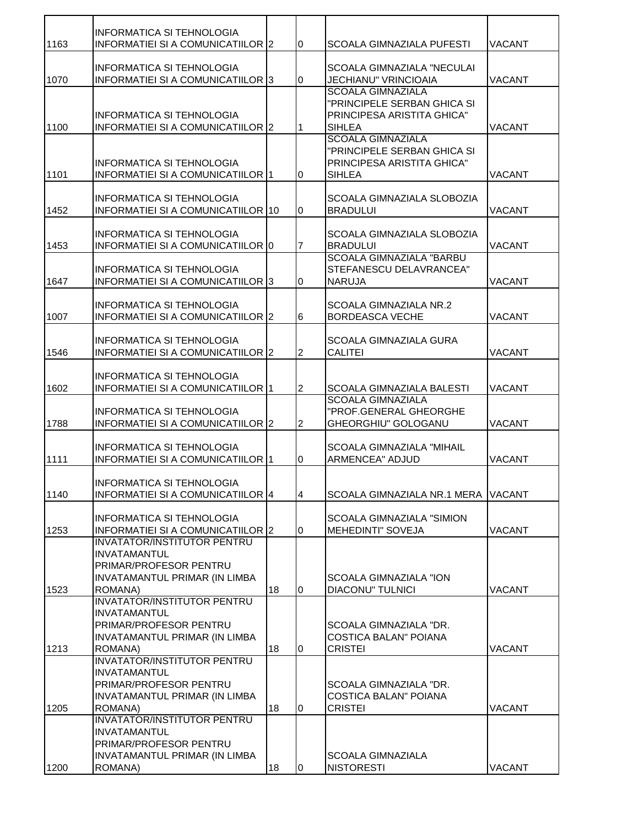|      | <b>INFORMATICA SI TEHNOLOGIA</b>                                                                                                |    |                |                                                                                                        |               |
|------|---------------------------------------------------------------------------------------------------------------------------------|----|----------------|--------------------------------------------------------------------------------------------------------|---------------|
| 1163 | INFORMATIEI SI A COMUNICATIILOR 2                                                                                               |    | l <sub>0</sub> | <b>SCOALA GIMNAZIALA PUFESTI</b>                                                                       | <b>VACANT</b> |
| 1070 | <b>INFORMATICA SI TEHNOLOGIA</b><br>INFORMATIEI SI A COMUNICATIILOR 3                                                           |    | $\overline{0}$ | <b>SCOALA GIMNAZIALA "NECULAI</b><br><b>JECHIANU" VRINCIOAIA</b>                                       | <b>VACANT</b> |
| 1100 | <b>INFORMATICA SI TEHNOLOGIA</b><br>INFORMATIEI SI A COMUNICATIILOR 2                                                           |    | 1              | <b>SCOALA GIMNAZIALA</b><br>"PRINCIPELE SERBAN GHICA SI<br>PRINCIPESA ARISTITA GHICA"<br><b>SIHLEA</b> | <b>VACANT</b> |
| 1101 | INFORMATICA SI TEHNOLOGIA<br>INFORMATIEI SI A COMUNICATIILOR 1                                                                  |    | 0              | <b>SCOALA GIMNAZIALA</b><br>"PRINCIPELE SERBAN GHICA SI<br>PRINCIPESA ARISTITA GHICA"<br><b>SIHLEA</b> | <b>VACANT</b> |
| 1452 | INFORMATICA SI TEHNOLOGIA<br>INFORMATIEI SI A COMUNICATIILOR 10                                                                 |    | $\overline{0}$ | SCOALA GIMNAZIALA SLOBOZIA<br><b>BRADULUI</b>                                                          | <b>VACANT</b> |
| 1453 | <b>INFORMATICA SI TEHNOLOGIA</b><br>INFORMATIEI SI A COMUNICATIILOR 0                                                           |    | $\overline{7}$ | SCOALA GIMNAZIALA SLOBOZIA<br><b>BRADULUI</b>                                                          | <b>VACANT</b> |
| 1647 | <b>INFORMATICA SI TEHNOLOGIA</b><br>INFORMATIEI SI A COMUNICATIILOR 3                                                           |    | l <sub>0</sub> | SCOALA GIMNAZIALA "BARBU<br>STEFANESCU DELAVRANCEA"<br><b>NARUJA</b>                                   | <b>VACANT</b> |
| 1007 | INFORMATICA SI TEHNOLOGIA<br>INFORMATIEI SI A COMUNICATIILOR 2                                                                  |    | 6              | SCOALA GIMNAZIALA NR.2<br><b>BORDEASCA VECHE</b>                                                       | <b>VACANT</b> |
| 1546 | <b>INFORMATICA SI TEHNOLOGIA</b><br>INFORMATIEI SI A COMUNICATIILOR 2                                                           |    | $\overline{2}$ | <b>SCOALA GIMNAZIALA GURA</b><br><b>CALITEI</b>                                                        | <b>VACANT</b> |
| 1602 | <b>INFORMATICA SI TEHNOLOGIA</b><br>INFORMATIEI SI A COMUNICATIILOR 1                                                           |    | $\overline{2}$ | <b>SCOALA GIMNAZIALA BALESTI</b>                                                                       | <b>VACANT</b> |
| 1788 | INFORMATICA SI TEHNOLOGIA<br>INFORMATIEI SI A COMUNICATIILOR 2                                                                  |    | $\overline{2}$ | <b>SCOALA GIMNAZIALA</b><br>"PROF.GENERAL GHEORGHE<br>GHEORGHIU" GOLOGANU                              | <b>VACANT</b> |
| 1111 | <b>INFORMATICA SI TEHNOLOGIA</b><br>INFORMATIEI SI A COMUNICATIILOR 1                                                           |    | $\overline{0}$ | <b>SCOALA GIMNAZIALA "MIHAIL</b><br>ARMENCEA" ADJUD                                                    | <b>VACANT</b> |
| 1140 | INFORMATICA SI TEHNOLOGIA<br>INFORMATIEI SI A COMUNICATIILOR 4                                                                  |    | 4              | SCOALA GIMNAZIALA NR.1 MERA VACANT                                                                     |               |
| 1253 | INFORMATICA SI TEHNOLOGIA<br>INFORMATIEI SI A COMUNICATIILOR 2                                                                  |    | $\overline{0}$ | <b>SCOALA GIMNAZIALA "SIMION</b><br><b>MEHEDINTI" SOVEJA</b>                                           | <b>VACANT</b> |
| 1523 | <b>INVATATOR/INSTITUTOR PENTRU</b><br><b>INVATAMANTUL</b><br>PRIMAR/PROFESOR PENTRU<br>INVATAMANTUL PRIMAR (IN LIMBA<br>ROMANA) | 18 | $\overline{0}$ | <b>SCOALA GIMNAZIALA "ION</b><br><b>DIACONU" TULNICI</b>                                               | <b>VACANT</b> |
| 1213 | <b>INVATATOR/INSTITUTOR PENTRU</b><br><b>INVATAMANTUL</b><br>PRIMAR/PROFESOR PENTRU<br>INVATAMANTUL PRIMAR (IN LIMBA<br>ROMANA) | 18 | l <sub>0</sub> | SCOALA GIMNAZIALA "DR.<br><b>COSTICA BALAN" POIANA</b><br><b>CRISTEI</b>                               | <b>VACANT</b> |
|      | <b>INVATATOR/INSTITUTOR PENTRU</b><br><b>INVATAMANTUL</b><br>PRIMAR/PROFESOR PENTRU<br>INVATAMANTUL PRIMAR (IN LIMBA            |    |                | SCOALA GIMNAZIALA "DR.<br><b>COSTICA BALAN" POIANA</b>                                                 |               |
| 1205 | ROMANA)                                                                                                                         | 18 | $\overline{0}$ | <b>CRISTEI</b>                                                                                         | <b>VACANT</b> |
|      | <b>INVATATOR/INSTITUTOR PENTRU</b><br><b>INVATAMANTUL</b><br>PRIMAR/PROFESOR PENTRU                                             |    |                |                                                                                                        |               |
| 1200 | INVATAMANTUL PRIMAR (IN LIMBA<br>ROMANA)                                                                                        | 18 | 0              | <b>SCOALA GIMNAZIALA</b><br><b>NISTORESTI</b>                                                          | <b>VACANT</b> |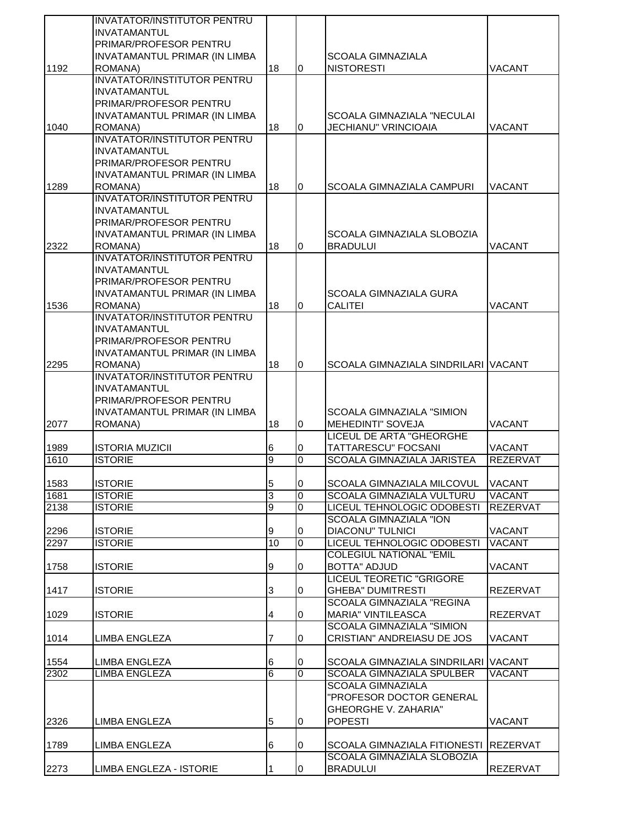|      | <b>INVATATOR/INSTITUTOR PENTRU</b> |        |                |                                     |                 |
|------|------------------------------------|--------|----------------|-------------------------------------|-----------------|
|      | <b>INVATAMANTUL</b>                |        |                |                                     |                 |
|      | <b>PRIMAR/PROFESOR PENTRU</b>      |        |                |                                     |                 |
|      | INVATAMANTUL PRIMAR (IN LIMBA      |        |                | <b>SCOALA GIMNAZIALA</b>            |                 |
| 1192 | ROMANA)                            | 18     | 0              | <b>NISTORESTI</b>                   | VACANT          |
|      | <b>INVATATOR/INSTITUTOR PENTRU</b> |        |                |                                     |                 |
|      | <b>INVATAMANTUL</b>                |        |                |                                     |                 |
|      | PRIMAR/PROFESOR PENTRU             |        |                |                                     |                 |
|      | INVATAMANTUL PRIMAR (IN LIMBA      |        |                | SCOALA GIMNAZIALA "NECULAI          |                 |
| 1040 | ROMANA)                            | 18     | 0              | <b>JECHIANU" VRINCIOAIA</b>         | <b>VACANT</b>   |
|      | <b>INVATATOR/INSTITUTOR PENTRU</b> |        |                |                                     |                 |
|      | <b>INVATAMANTUL</b>                |        |                |                                     |                 |
|      | PRIMAR/PROFESOR PENTRU             |        |                |                                     |                 |
|      | INVATAMANTUL PRIMAR (IN LIMBA      |        |                |                                     |                 |
| 1289 | ROMANA)                            | 18     | 0              | SCOALA GIMNAZIALA CAMPURI           | VACANT          |
|      | <b>INVATATOR/INSTITUTOR PENTRU</b> |        |                |                                     |                 |
|      | <b>INVATAMANTUL</b>                |        |                |                                     |                 |
|      | PRIMAR/PROFESOR PENTRU             |        |                |                                     |                 |
|      | INVATAMANTUL PRIMAR (IN LIMBA      |        |                | SCOALA GIMNAZIALA SLOBOZIA          |                 |
| 2322 | ROMANA)                            | 18     | 0              | <b>BRADULUI</b>                     | <b>VACANT</b>   |
|      | <b>INVATATOR/INSTITUTOR PENTRU</b> |        |                |                                     |                 |
|      | <b>INVATAMANTUL</b>                |        |                |                                     |                 |
|      | <b>PRIMAR/PROFESOR PENTRU</b>      |        |                |                                     |                 |
|      | INVATAMANTUL PRIMAR (IN LIMBA      |        |                | <b>SCOALA GIMNAZIALA GURA</b>       |                 |
| 1536 | ROMANA)                            | 18     | 0              | <b>CALITEI</b>                      | VACANT          |
|      | <b>INVATATOR/INSTITUTOR PENTRU</b> |        |                |                                     |                 |
|      | <b>INVATAMANTUL</b>                |        |                |                                     |                 |
|      | PRIMAR/PROFESOR PENTRU             |        |                |                                     |                 |
|      | INVATAMANTUL PRIMAR (IN LIMBA      |        |                |                                     |                 |
| 2295 | ROMANA)                            | 18     | $\overline{0}$ | SCOALA GIMNAZIALA SINDRILARI VACANT |                 |
|      | <b>INVATATOR/INSTITUTOR PENTRU</b> |        |                |                                     |                 |
|      | <b>INVATAMANTUL</b>                |        |                |                                     |                 |
|      | <b>PRIMAR/PROFESOR PENTRU</b>      |        |                |                                     |                 |
|      | INVATAMANTUL PRIMAR (IN LIMBA      |        |                | SCOALA GIMNAZIALA "SIMION           |                 |
| 2077 | ROMANA)                            | 18     | 0              | <b>MEHEDINTI" SOVEJA</b>            | VACANT          |
|      |                                    |        |                | LICEUL DE ARTA "GHEORGHE            |                 |
| 1989 | <b>ISTORIA MUZICII</b>             | 6      | 0              | TATTARESCU" FOCSANI                 | VACANT          |
| 1610 | <b>ISTORIE</b>                     | 9      | 0              | SCOALA GIMNAZIALA JARISTEA          | <b>REZERVAT</b> |
|      |                                    |        |                |                                     |                 |
| 1583 | <b>ISTORIE</b>                     | 5      | 0              | SCOALA GIMNAZIALA MILCOVUL          | <b>VACANT</b>   |
| 1681 | <b>ISTORIE</b>                     | 3      | $\overline{0}$ | SCOALA GIMNAZIALA VULTURU           | <b>VACANT</b>   |
| 2138 | <b>ISTORIE</b>                     | 9      | 0              | LICEUL TEHNOLOGIC ODOBESTI          | <b>REZERVAT</b> |
|      |                                    |        |                | <b>SCOALA GIMNAZIALA "ION</b>       |                 |
| 2296 | <b>ISTORIE</b>                     | 9      | 0              | <b>DIACONU" TULNICI</b>             | <b>VACANT</b>   |
| 2297 | <b>ISTORIE</b>                     | 10     | 0              | LICEUL TEHNOLOGIC ODOBESTI          | <b>VACANT</b>   |
|      |                                    |        |                | <b>COLEGIUL NATIONAL "EMIL</b>      |                 |
| 1758 | <b>ISTORIE</b>                     | 9      | 0              | <b>BOTTA" ADJUD</b>                 | VACANT          |
|      |                                    |        |                | LICEUL TEORETIC "GRIGORE            |                 |
| 1417 | <b>ISTORIE</b>                     | 3      | 0              | <b>GHEBA" DUMITRESTI</b>            | <b>REZERVAT</b> |
|      |                                    |        |                | <b>SCOALA GIMNAZIALA "REGINA</b>    |                 |
| 1029 | <b>ISTORIE</b>                     | 4      | 0              | <b>MARIA" VINTILEASCA</b>           | REZERVAT        |
|      |                                    |        |                | <b>SCOALA GIMNAZIALA "SIMION</b>    |                 |
| 1014 | LIMBA ENGLEZA                      | 7      | 0              | CRISTIAN" ANDREIASU DE JOS          | VACANT          |
|      |                                    |        |                | SCOALA GIMNAZIALA SINDRILARI VACANT |                 |
| 1554 | LIMBA ENGLEZA                      | 6<br>6 | 0              |                                     |                 |
| 2302 | LIMBA ENGLEZA                      |        | 0              | SCOALA GIMNAZIALA SPULBER           | VACANT          |
|      |                                    |        |                | <b>SCOALA GIMNAZIALA</b>            |                 |
|      |                                    |        |                | "PROFESOR DOCTOR GENERAL            |                 |
|      |                                    |        |                | <b>GHEORGHE V. ZAHARIA"</b>         |                 |
| 2326 | LIMBA ENGLEZA                      | 5      | 0              | <b>POPESTI</b>                      | <b>VACANT</b>   |
| 1789 | LIMBA ENGLEZA                      |        |                | SCOALA GIMNAZIALA FITIONESTI        | <b>REZERVAT</b> |
|      |                                    | 6      | 0              | SCOALA GIMNAZIALA SLOBOZIA          |                 |
|      | LIMBA ENGLEZA - ISTORIE            |        |                | <b>BRADULUI</b>                     |                 |
| 2273 |                                    |        | 0              |                                     | REZERVAT        |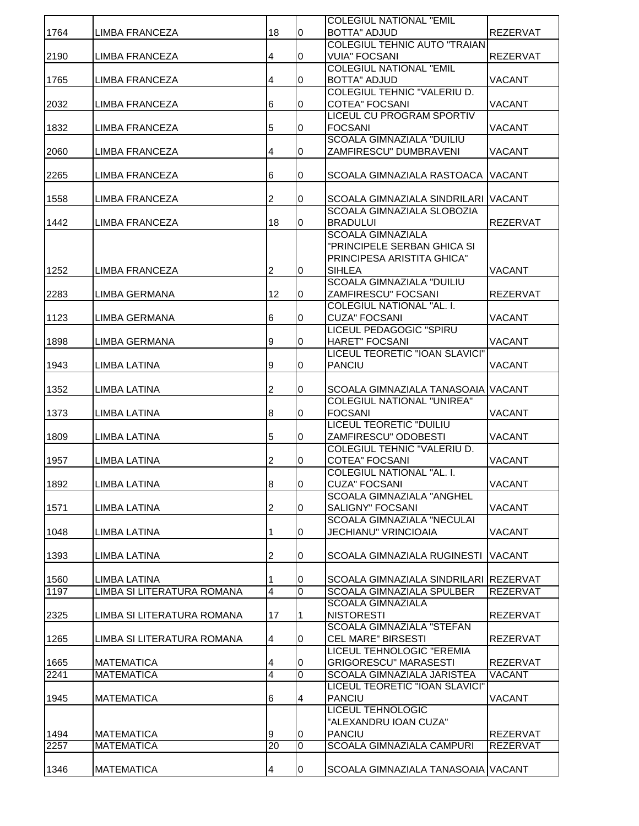|      |                            |                 |                | <b>COLEGIUL NATIONAL "EMIL</b>                            |                 |
|------|----------------------------|-----------------|----------------|-----------------------------------------------------------|-----------------|
| 1764 | LIMBA FRANCEZA             | 18              | 0              | <b>BOTTA" ADJUD</b>                                       | REZERVAT        |
|      |                            |                 |                | <b>COLEGIUL TEHNIC AUTO "TRAIAN</b>                       |                 |
| 2190 | LIMBA FRANCEZA             | 4               | 0              | <b>VUIA" FOCSANI</b>                                      | <b>REZERVAT</b> |
|      |                            |                 |                | <b>COLEGIUL NATIONAL "EMIL</b>                            |                 |
| 1765 | LIMBA FRANCEZA             | 4               | 0              | <b>BOTTA" ADJUD</b>                                       | <b>VACANT</b>   |
|      |                            |                 |                | COLEGIUL TEHNIC "VALERIU D.                               |                 |
| 2032 | LIMBA FRANCEZA             | 6               | 0              | <b>COTEA" FOCSANI</b>                                     | <b>VACANT</b>   |
|      |                            |                 |                | LICEUL CU PROGRAM SPORTIV                                 |                 |
| 1832 | LIMBA FRANCEZA             | 5               | 0              | <b>FOCSANI</b>                                            | <b>VACANT</b>   |
|      |                            |                 |                | <b>SCOALA GIMNAZIALA "DUILIU</b>                          |                 |
| 2060 | LIMBA FRANCEZA             | 4               | 0              | ZAMFIRESCU" DUMBRAVENI                                    | <b>VACANT</b>   |
|      |                            |                 |                |                                                           |                 |
| 2265 | LIMBA FRANCEZA             | 6               | 0              | ISCOALA GIMNAZIALA RASTOACA IVACANT                       |                 |
|      |                            |                 |                |                                                           |                 |
| 1558 | LIMBA FRANCEZA             | 2               | 0              | SCOALA GIMNAZIALA SINDRILARI VACANT                       |                 |
|      |                            |                 |                | <b>SCOALA GIMNAZIALA SLOBOZIA</b>                         |                 |
| 1442 | <b>LIMBA FRANCEZA</b>      | 18              | 0              | <b>BRADULUI</b>                                           | <b>REZERVAT</b> |
|      |                            |                 |                | <b>SCOALA GIMNAZIALA</b>                                  |                 |
|      |                            |                 |                | "PRINCIPELE SERBAN GHICA SI<br>PRINCIPESA ARISTITA GHICA" |                 |
| 1252 |                            | $\overline{2}$  |                | <b>SIHLEA</b>                                             | <b>VACANT</b>   |
|      | LIMBA FRANCEZA             |                 | 0              | <b>SCOALA GIMNAZIALA "DUILIU</b>                          |                 |
| 2283 | LIMBA GERMANA              | 12              | 0              | ZAMFIRESCU" FOCSANI                                       | <b>REZERVAT</b> |
|      |                            |                 |                | <b>COLEGIUL NATIONAL "AL. I.</b>                          |                 |
| 1123 | LIMBA GERMANA              | $6\phantom{.}6$ | $\bf{0}$       | <b>CUZA" FOCSANI</b>                                      | <b>VACANT</b>   |
|      |                            |                 |                | <b>LICEUL PEDAGOGIC "SPIRU</b>                            |                 |
| 1898 | LIMBA GERMANA              | 9               | 0              | <b>HARET" FOCSANI</b>                                     | <b>VACANT</b>   |
|      |                            |                 |                | LICEUL TEORETIC "IOAN SLAVICI"                            |                 |
| 1943 | <b>LIMBA LATINA</b>        | 9               | 0              | PANCIU                                                    | <b>VACANT</b>   |
|      |                            |                 |                |                                                           |                 |
| 1352 | LIMBA LATINA               | $\overline{2}$  | 0              | ISCOALA GIMNAZIALA TANASOAIA   VACANT                     |                 |
|      |                            |                 |                | <b>COLEGIUL NATIONAL "UNIREA"</b>                         |                 |
| 1373 | LIMBA LATINA               | 8               | 0              | <b>FOCSANI</b>                                            | <b>VACANT</b>   |
|      |                            |                 |                | <b>LICEUL TEORETIC "DUILIU</b>                            |                 |
| 1809 | LIMBA LATINA               | 5               | 0              | ZAMFIRESCU" ODOBESTI                                      | <b>VACANT</b>   |
|      |                            |                 |                | <b>COLEGIUL TEHNIC "VALERIU D.</b>                        |                 |
| 1957 | <b>LIMBA LATINA</b>        | $\overline{c}$  | 0              | <b>COTEA" FOCSANI</b>                                     | <b>VACANT</b>   |
|      |                            |                 |                | COLEGIUL NATIONAL "AL. I.                                 |                 |
| 1892 | <b>LIMBA LATINA</b>        | 8               | 0              | <b>CUZA" FOCSANI</b>                                      | <b>VACANT</b>   |
|      |                            |                 |                | <b>SCOALA GIMNAZIALA "ANGHEL</b>                          |                 |
| 1571 | LIMBA LATINA               | $\overline{2}$  | 0              | <b>SALIGNY" FOCSANI</b>                                   | <b>VACANT</b>   |
|      |                            |                 |                | <b>SCOALA GIMNAZIALA "NECULAI</b>                         |                 |
| 1048 | LIMBA LATINA               | 1               | 0              | JECHIANU" VRINCIOAIA                                      | <b>VACANT</b>   |
|      |                            |                 |                |                                                           |                 |
| 1393 | LIMBA LATINA               | 2               | 0              | SCOALA GIMNAZIALA RUGINESTI                               | <b>VACANT</b>   |
|      |                            |                 |                |                                                           |                 |
| 1560 | <b>LIMBA LATINA</b>        |                 | 0              | SCOALA GIMNAZIALA SINDRILARI REZERVAT                     |                 |
| 1197 | LIMBA SI LITERATURA ROMANA | $\overline{4}$  | $\overline{0}$ | <b>SCOALA GIMNAZIALA SPULBER</b>                          | <b>REZERVAT</b> |
| 2325 | LIMBA SI LITERATURA ROMANA |                 |                | <b>SCOALA GIMNAZIALA</b><br><b>NISTORESTI</b>             |                 |
|      |                            | 17              | 1              | <b>SCOALA GIMNAZIALA "STEFAN</b>                          | <b>REZERVAT</b> |
| 1265 | LIMBA SI LITERATURA ROMANA | 4               | 0              | <b>CEL MARE" BIRSESTI</b>                                 | <b>REZERVAT</b> |
|      |                            |                 |                | LICEUL TEHNOLOGIC "EREMIA                                 |                 |
| 1665 | <b>MATEMATICA</b>          | 4               | 0              | <b>GRIGORESCU" MARASESTI</b>                              | <b>REZERVAT</b> |
| 2241 | <b>MATEMATICA</b>          | $\overline{4}$  | $\overline{0}$ | SCOALA GIMNAZIALA JARISTEA                                | <b>VACANT</b>   |
|      |                            |                 |                | LICEUL TEORETIC "IOAN SLAVICI"                            |                 |
| 1945 | <b>MATEMATICA</b>          | 6               | 4              | <b>PANCIU</b>                                             | <b>VACANT</b>   |
|      |                            |                 |                | <b>LICEUL TEHNOLOGIC</b>                                  |                 |
|      |                            |                 |                | "ALEXANDRU IOAN CUZA"                                     |                 |
| 1494 | <b>MATEMATICA</b>          | 9               | 0              | <b>PANCIU</b>                                             | <b>REZERVAT</b> |
| 2257 | <b>MATEMATICA</b>          | 20              | $\overline{0}$ | <b>SCOALA GIMNAZIALA CAMPURI</b>                          | <b>REZERVAT</b> |
|      |                            |                 |                |                                                           |                 |
| 1346 | <b>MATEMATICA</b>          | 4               | 0              | SCOALA GIMNAZIALA TANASOAIA VACANT                        |                 |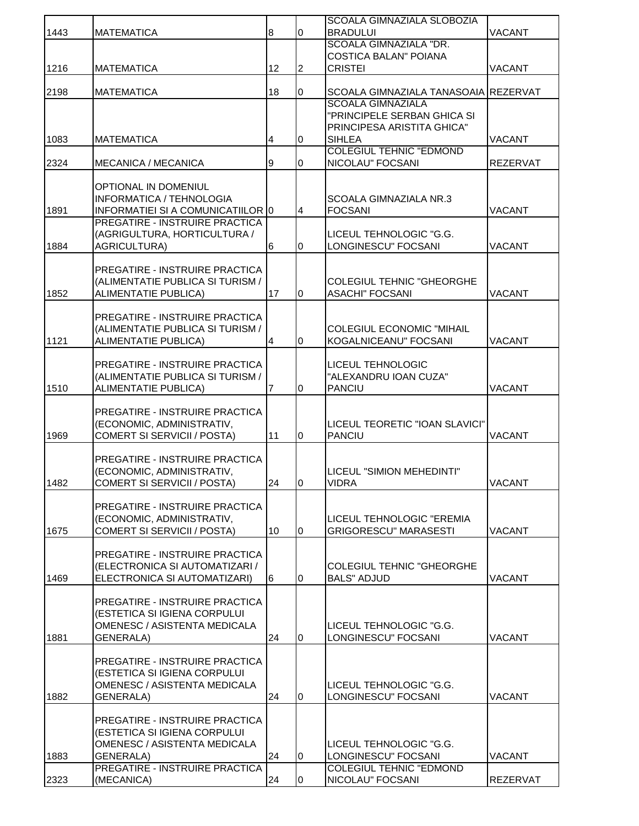| 1443 | <b>MATEMATICA</b>                                | 8  | $\bf{0}$       | SCOALA GIMNAZIALA SLOBOZIA<br><b>BRADULUI</b>           | VACANT          |
|------|--------------------------------------------------|----|----------------|---------------------------------------------------------|-----------------|
|      |                                                  |    |                | SCOALA GIMNAZIALA "DR.                                  |                 |
| 1216 |                                                  | 12 | $\overline{2}$ | <b>COSTICA BALAN" POIANA</b>                            | <b>VACANT</b>   |
|      | <b>MATEMATICA</b>                                |    |                | <b>CRISTEI</b>                                          |                 |
| 2198 | <b>MATEMATICA</b>                                | 18 | 0              | SCOALA GIMNAZIALA TANASOAIA REZERVAT                    |                 |
|      |                                                  |    |                | <b>SCOALA GIMNAZIALA</b><br>"PRINCIPELE SERBAN GHICA SI |                 |
|      |                                                  |    |                | PRINCIPESA ARISTITA GHICA"                              |                 |
| 1083 | <b>MATEMATICA</b>                                | 4  | 0              | <b>SIHLEA</b>                                           | VACANT          |
| 2324 | MECANICA / MECANICA                              | 9  | 0              | <b>COLEGIUL TEHNIC "EDMOND</b><br>NICOLAU" FOCSANI      | <b>REZERVAT</b> |
|      |                                                  |    |                |                                                         |                 |
|      | OPTIONAL IN DOMENIUL<br>INFORMATICA / TEHNOLOGIA |    |                |                                                         |                 |
| 1891 | INFORMATIEI SI A COMUNICATIILOR 0                |    | $\overline{4}$ | <b>SCOALA GIMNAZIALA NR.3</b><br><b>FOCSANI</b>         | <b>VACANT</b>   |
|      | <b>PREGATIRE - INSTRUIRE PRACTICA</b>            |    |                |                                                         |                 |
|      | (AGRIGULTURA, HORTICULTURA /                     |    |                | LICEUL TEHNOLOGIC "G.G.                                 |                 |
| 1884 | <b>AGRICULTURA)</b>                              | 6  | 0              | LONGINESCU" FOCSANI                                     | <b>VACANT</b>   |
|      | PREGATIRE - INSTRUIRE PRACTICA                   |    |                |                                                         |                 |
|      | (ALIMENTATIE PUBLICA SI TURISM /                 |    |                | <b>COLEGIUL TEHNIC "GHEORGHE</b>                        |                 |
| 1852 | <b>ALIMENTATIE PUBLICA)</b>                      | 17 | 0              | <b>ASACHI" FOCSANI</b>                                  | <b>VACANT</b>   |
|      | PREGATIRE - INSTRUIRE PRACTICA                   |    |                |                                                         |                 |
|      | (ALIMENTATIE PUBLICA SI TURISM /                 |    |                | COLEGIUL ECONOMIC "MIHAIL                               |                 |
| 1121 | <b>ALIMENTATIE PUBLICA)</b>                      | 4  | $\overline{0}$ | KOGALNICEANU" FOCSANI                                   | VACANT          |
|      | PREGATIRE - INSTRUIRE PRACTICA                   |    |                | <b>LICEUL TEHNOLOGIC</b>                                |                 |
|      | (ALIMENTATIE PUBLICA SI TURISM /                 |    |                | "ALEXANDRU IOAN CUZA"                                   |                 |
| 1510 | <b>ALIMENTATIE PUBLICA)</b>                      | 7  | 0              | <b>PANCIU</b>                                           | VACANT          |
|      | <b>PREGATIRE - INSTRUIRE PRACTICA</b>            |    |                |                                                         |                 |
|      | (ECONOMIC, ADMINISTRATIV,                        |    |                | LICEUL TEORETIC "IOAN SLAVICI"                          |                 |
| 1969 | COMERT SI SERVICII / POSTA)                      | 11 | 0              | <b>PANCIU</b>                                           | <b>VACANT</b>   |
|      | PREGATIRE - INSTRUIRE PRACTICA                   |    |                |                                                         |                 |
|      | (ECONOMIC, ADMINISTRATIV,                        |    |                | LICEUL "SIMION MEHEDINTI"                               |                 |
| 1482 | <b>COMERT SI SERVICII / POSTA)</b>               | 24 | Iо             | <b>VIDRA</b>                                            | <b>VACANT</b>   |
|      | PREGATIRE - INSTRUIRE PRACTICA                   |    |                |                                                         |                 |
|      | (ECONOMIC, ADMINISTRATIV,                        |    |                | LICEUL TEHNOLOGIC "EREMIA                               |                 |
| 1675 | COMERT SI SERVICII / POSTA)                      | 10 | 0              | <b>GRIGORESCU" MARASESTI</b>                            | <b>VACANT</b>   |
|      | PREGATIRE - INSTRUIRE PRACTICA                   |    |                |                                                         |                 |
|      | (ELECTRONICA SI AUTOMATIZARI /                   |    |                | <b>COLEGIUL TEHNIC "GHEORGHE</b>                        |                 |
| 1469 | ELECTRONICA SI AUTOMATIZARI)                     | 6  | 0              | <b>BALS" ADJUD</b>                                      | VACANT          |
|      | PREGATIRE - INSTRUIRE PRACTICA                   |    |                |                                                         |                 |
|      | (ESTETICA SI IGIENA CORPULUI                     |    |                |                                                         |                 |
|      | OMENESC / ASISTENTA MEDICALA                     |    |                | LICEUL TEHNOLOGIC "G.G.                                 |                 |
| 1881 | GENERALA)                                        | 24 | $\overline{0}$ | LONGINESCU" FOCSANI                                     | VACANT          |
|      | <b>PREGATIRE - INSTRUIRE PRACTICA</b>            |    |                |                                                         |                 |
|      | (ESTETICA SI IGIENA CORPULUI                     |    |                |                                                         |                 |
|      | OMENESC / ASISTENTA MEDICALA                     |    |                | LICEUL TEHNOLOGIC "G.G.                                 |                 |
| 1882 | GENERALA)                                        | 24 | 0              | LONGINESCU" FOCSANI                                     | VACANT          |
|      | PREGATIRE - INSTRUIRE PRACTICA                   |    |                |                                                         |                 |
|      | (ESTETICA SI IGIENA CORPULUI                     |    |                |                                                         |                 |
| 1883 | OMENESC / ASISTENTA MEDICALA<br>GENERALA)        | 24 | $\overline{0}$ | LICEUL TEHNOLOGIC "G.G.<br>LONGINESCU" FOCSANI          | VACANT          |
|      | PREGATIRE - INSTRUIRE PRACTICA                   |    |                | <b>COLEGIUL TEHNIC "EDMOND</b>                          |                 |
| 2323 | (MECANICA)                                       | 24 | 0              | NICOLAU" FOCSANI                                        | <b>REZERVAT</b> |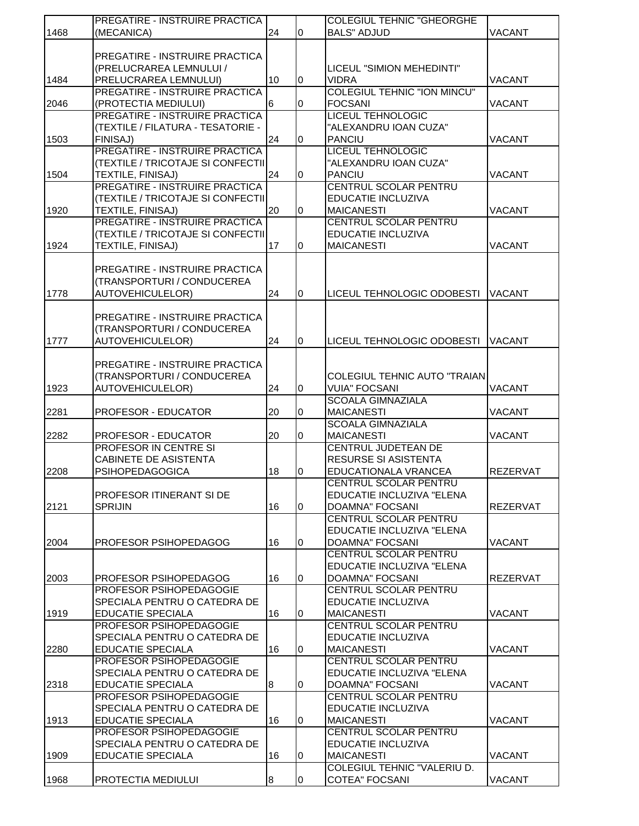|      | PREGATIRE - INSTRUIRE PRACTICA        |    |                | <b>COLEGIUL TEHNIC "GHEORGHE</b>   |                 |
|------|---------------------------------------|----|----------------|------------------------------------|-----------------|
| 1468 | (MECANICA)                            | 24 | $\overline{0}$ | <b>BALS" ADJUD</b>                 | VACANT          |
|      |                                       |    |                |                                    |                 |
|      | <b>PREGATIRE - INSTRUIRE PRACTICA</b> |    |                |                                    |                 |
|      | (PRELUCRAREA LEMNULUI /               |    |                | LICEUL "SIMION MEHEDINTI"          |                 |
| 1484 | PRELUCRAREA LEMNULUI)                 | 10 | 0              | <b>VIDRA</b>                       | VACANT          |
|      | <b>PREGATIRE - INSTRUIRE PRACTICA</b> |    |                | <b>COLEGIUL TEHNIC "ION MINCU"</b> |                 |
| 2046 | (PROTECTIA MEDIULUI)                  | 6  | 0              | <b>FOCSANI</b>                     | VACANT          |
|      | <b>PREGATIRE - INSTRUIRE PRACTICA</b> |    |                | <b>LICEUL TEHNOLOGIC</b>           |                 |
|      | (TEXTILE / FILATURA - TESATORIE -     |    |                | "ALEXANDRU IOAN CUZA"              |                 |
| 1503 | FINISAJ)                              | 24 | $\overline{0}$ | <b>PANCIU</b>                      | <b>VACANT</b>   |
|      | PREGATIRE - INSTRUIRE PRACTICA        |    |                | <b>LICEUL TEHNOLOGIC</b>           |                 |
|      | (TEXTILE / TRICOTAJE SI CONFECTII     |    |                | "ALEXANDRU IOAN CUZA"              |                 |
| 1504 | TEXTILE, FINISAJ)                     | 24 | $\Omega$       | <b>PANCIU</b>                      | VACANT          |
|      | <b>PREGATIRE - INSTRUIRE PRACTICA</b> |    |                | <b>CENTRUL SCOLAR PENTRU</b>       |                 |
|      | (TEXTILE / TRICOTAJE SI CONFECTII     |    |                | <b>EDUCATIE INCLUZIVA</b>          |                 |
| 1920 | TEXTILE, FINISAJ)                     | 20 | 0              | <b>MAICANESTI</b>                  | VACANT          |
|      | <b>PREGATIRE - INSTRUIRE PRACTICA</b> |    |                | <b>CENTRUL SCOLAR PENTRU</b>       |                 |
|      | (TEXTILE / TRICOTAJE SI CONFECTII     |    |                | EDUCATIE INCLUZIVA                 |                 |
| 1924 | TEXTILE, FINISAJ)                     | 17 | 0              | <b>MAICANESTI</b>                  | <b>VACANT</b>   |
|      |                                       |    |                |                                    |                 |
|      | <b>PREGATIRE - INSTRUIRE PRACTICA</b> |    |                |                                    |                 |
|      | (TRANSPORTURI / CONDUCEREA            |    |                |                                    |                 |
|      |                                       | 24 | 0              | LICEUL TEHNOLOGIC ODOBESTI         | <b>VACANT</b>   |
| 1778 | AUTOVEHICULELOR)                      |    |                |                                    |                 |
|      |                                       |    |                |                                    |                 |
|      | PREGATIRE - INSTRUIRE PRACTICA        |    |                |                                    |                 |
|      | (TRANSPORTURI / CONDUCEREA            |    |                |                                    |                 |
| 1777 | <b>AUTOVEHICULELOR)</b>               | 24 | $\overline{0}$ | LICEUL TEHNOLOGIC ODOBESTI         | <b>VACANT</b>   |
|      |                                       |    |                |                                    |                 |
|      | PREGATIRE - INSTRUIRE PRACTICA        |    |                |                                    |                 |
|      | (TRANSPORTURI / CONDUCEREA            |    |                | COLEGIUL TEHNIC AUTO "TRAIAN       |                 |
| 1923 | AUTOVEHICULELOR)                      | 24 | $\overline{0}$ | <b>VUIA" FOCSANI</b>               | <b>VACANT</b>   |
|      |                                       |    |                | <b>SCOALA GIMNAZIALA</b>           |                 |
| 2281 | <b>PROFESOR - EDUCATOR</b>            | 20 | 0              | <b>MAICANESTI</b>                  | VACANT          |
|      |                                       |    |                | <b>SCOALA GIMNAZIALA</b>           |                 |
| 2282 | PROFESOR - EDUCATOR                   | 20 | 0              | <b>MAICANESTI</b>                  | VACANT          |
|      | <b>PROFESOR IN CENTRE SI</b>          |    |                | <b>CENTRUL JUDETEAN DE</b>         |                 |
|      | <b>CABINETE DE ASISTENTA</b>          |    |                | <b>RESURSE SI ASISTENTA</b>        |                 |
| 2208 | <b>PSIHOPEDAGOGICA</b>                | 18 | 0              | EDUCATIONALA VRANCEA               | <b>REZERVAT</b> |
|      |                                       |    |                | <b>CENTRUL SCOLAR PENTRU</b>       |                 |
|      | PROFESOR ITINERANT SI DE              |    |                | EDUCATIE INCLUZIVA "ELENA          |                 |
| 2121 | <b>SPRIJIN</b>                        | 16 | 0              | <b>DOAMNA" FOCSANI</b>             | <b>REZERVAT</b> |
|      |                                       |    |                | <b>CENTRUL SCOLAR PENTRU</b>       |                 |
|      |                                       |    |                | EDUCATIE INCLUZIVA "ELENA          |                 |
| 2004 | PROFESOR PSIHOPEDAGOG                 | 16 | 0              | <b>DOAMNA" FOCSANI</b>             | VACANT          |
|      |                                       |    |                | CENTRUL SCOLAR PENTRU              |                 |
|      |                                       |    |                | EDUCATIE INCLUZIVA "ELENA          |                 |
| 2003 | PROFESOR PSIHOPEDAGOG                 | 16 | 0              | <b>DOAMNA" FOCSANI</b>             | <b>REZERVAT</b> |
|      | PROFESOR PSIHOPEDAGOGIE               |    |                | CENTRUL SCOLAR PENTRU              |                 |
|      | SPECIALA PENTRU O CATEDRA DE          |    |                | EDUCATIE INCLUZIVA                 |                 |
| 1919 | <b>EDUCATIE SPECIALA</b>              | 16 | 0              | <b>MAICANESTI</b>                  | VACANT          |
|      | PROFESOR PSIHOPEDAGOGIE               |    |                | CENTRUL SCOLAR PENTRU              |                 |
|      | SPECIALA PENTRU O CATEDRA DE          |    |                | EDUCATIE INCLUZIVA                 |                 |
| 2280 | <b>EDUCATIE SPECIALA</b>              | 16 | 0              | <b>MAICANESTI</b>                  | VACANT          |
|      | PROFESOR PSIHOPEDAGOGIE               |    |                | CENTRUL SCOLAR PENTRU              |                 |
|      | SPECIALA PENTRU O CATEDRA DE          |    |                | EDUCATIE INCLUZIVA "ELENA          |                 |
| 2318 | EDUCATIE SPECIALA                     | 8  | 0              | <b>DOAMNA" FOCSANI</b>             | <b>VACANT</b>   |
|      | PROFESOR PSIHOPEDAGOGIE               |    |                | CENTRUL SCOLAR PENTRU              |                 |
|      | SPECIALA PENTRU O CATEDRA DE          |    |                | EDUCATIE INCLUZIVA                 |                 |
| 1913 | <b>EDUCATIE SPECIALA</b>              | 16 | 0              | <b>MAICANESTI</b>                  | VACANT          |
|      | PROFESOR PSIHOPEDAGOGIE               |    |                | CENTRUL SCOLAR PENTRU              |                 |
|      | SPECIALA PENTRU O CATEDRA DE          |    |                | EDUCATIE INCLUZIVA                 |                 |
| 1909 | <b>EDUCATIE SPECIALA</b>              | 16 | 0              | <b>MAICANESTI</b>                  | VACANT          |
|      |                                       |    |                | COLEGIUL TEHNIC "VALERIU D.        |                 |
|      |                                       |    |                |                                    |                 |
| 1968 | PROTECTIA MEDIULUI                    | 8  | 0              | <b>COTEA" FOCSANI</b>              | VACANT          |